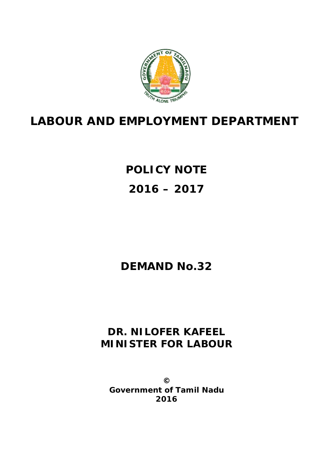

## **LABOUR AND EMPLOYMENT DEPARTMENT**

**POLICY NOTE 2016 – 2017** 

### **DEMAND No.32**

### **DR. NILOFER KAFEEL MINISTER FOR LABOUR**

**© Government of Tamil Nadu 2016**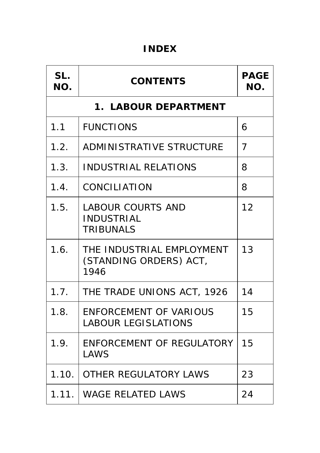### **INDEX**

| SL.<br>NO.           | <b>CONTENTS</b>                                                   | <b>PAGE</b><br>NO. |
|----------------------|-------------------------------------------------------------------|--------------------|
| 1. LABOUR DEPARTMENT |                                                                   |                    |
| 1.1                  | <b>FUNCTIONS</b>                                                  | 6                  |
| 1.2.                 | <b>ADMINISTRATIVE STRUCTURE</b>                                   | 7                  |
| 1.3.                 | <b>INDUSTRIAL RELATIONS</b>                                       | 8                  |
| 1.4.                 | <b>CONCILIATION</b>                                               | 8                  |
| 1.5.                 | <b>LABOUR COURTS AND</b><br><b>INDUSTRIAL</b><br><b>TRIBUNALS</b> | 12                 |
| 1.6.                 | THE INDUSTRIAL EMPLOYMENT<br>(STANDING ORDERS) ACT,<br>1946       | 13                 |
| 1.7.                 | THE TRADE UNIONS ACT, 1926                                        | 14                 |
| 1.8.                 | <b>ENFORCEMENT OF VARIOUS</b><br><b>LABOUR LEGISLATIONS</b>       | 15                 |
| 1.9.                 | <b>ENFORCEMENT OF REGULATORY</b><br><b>LAWS</b>                   | 15                 |
| 1.10.                | <b>OTHER REGULATORY LAWS</b>                                      | 23                 |
| 1.11.                | <b>WAGE RELATED LAWS</b>                                          | 24                 |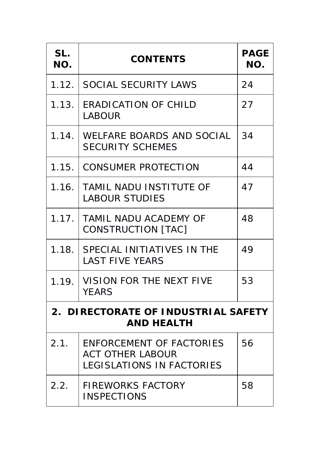| SL.<br>NO.                                               | <b>CONTENTS</b>                                                                                | <b>PAGE</b><br>NO. |
|----------------------------------------------------------|------------------------------------------------------------------------------------------------|--------------------|
| 1.12.                                                    | <b>SOCIAL SECURITY LAWS</b>                                                                    | 24                 |
| 1.13.                                                    | <b>ERADICATION OF CHILD</b><br><b>LABOUR</b>                                                   | 27                 |
| 1.14.                                                    | <b>WELFARE BOARDS AND SOCIAL</b><br><b>SECURITY SCHEMES</b>                                    | 34                 |
| 1.15.                                                    | <b>CONSUMER PROTECTION</b>                                                                     | 44                 |
| 1.16.                                                    | <b>TAMIL NADU INSTITUTE OF</b><br><b>LABOUR STUDIES</b>                                        | 47                 |
| 1.17.                                                    | <b>TAMIL NADU ACADEMY OF</b><br><b>CONSTRUCTION [TAC]</b>                                      | 48                 |
| 1.18.                                                    | SPECIAL INITIATIVES IN THE<br><b>LAST FIVE YEARS</b>                                           | 49                 |
| 1.19.                                                    | <b>VISION FOR THE NEXT FIVE</b><br><b>YEARS</b>                                                | 53                 |
| 2. DIRECTORATE OF INDUSTRIAL SAFETY<br><b>AND HEALTH</b> |                                                                                                |                    |
| 2.1.                                                     | <b>ENFORCEMENT OF FACTORIES</b><br><b>ACT OTHER LABOUR</b><br><b>LEGISLATIONS IN FACTORIES</b> | 56                 |
| 2.2.                                                     | <b>FIREWORKS FACTORY</b><br><b>INSPECTIONS</b>                                                 | 58                 |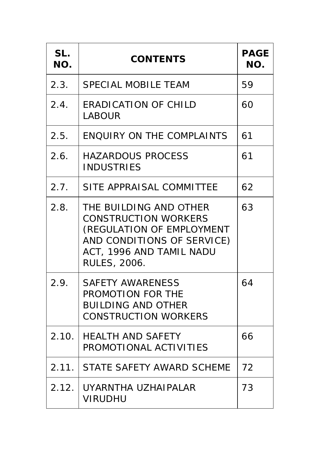| SL.<br>NO. | <b>CONTENTS</b>                                                                                                                                                     | <b>PAGE</b><br>NO. |
|------------|---------------------------------------------------------------------------------------------------------------------------------------------------------------------|--------------------|
| 2.3.       | <b>SPECIAL MOBILE TEAM</b>                                                                                                                                          | 59                 |
| 2.4.       | <b>ERADICATION OF CHILD</b><br><b>LABOUR</b>                                                                                                                        | 60                 |
| 2.5.       | <b>ENQUIRY ON THE COMPLAINTS</b>                                                                                                                                    | 61                 |
| 2.6.       | <b>HAZARDOUS PROCESS</b><br><b>INDUSTRIES</b>                                                                                                                       | 61                 |
| 2.7.       | SITE APPRAISAL COMMITTEE                                                                                                                                            | 62                 |
| 2.8.       | THE BUILDING AND OTHER<br><b>CONSTRUCTION WORKERS</b><br>(REGULATION OF EMPLOYMENT<br>AND CONDITIONS OF SERVICE)<br>ACT, 1996 AND TAMIL NADU<br><b>RULES, 2006.</b> | 63                 |
| 2.9.       | <b>SAFETY AWARENESS</b><br><b>PROMOTION FOR THE</b><br><b>BUILDING AND OTHER</b><br><b>CONSTRUCTION WORKERS</b>                                                     | 64                 |
| 2.10.      | <b>HEALTH AND SAFETY</b><br>PROMOTIONAL ACTIVITIES                                                                                                                  | 66                 |
|            | 2.11. STATE SAFETY AWARD SCHEME                                                                                                                                     | 72                 |
|            | 2.12. UYARNTHA UZHAIPALAR<br><b>VIRUDHU</b>                                                                                                                         | 73                 |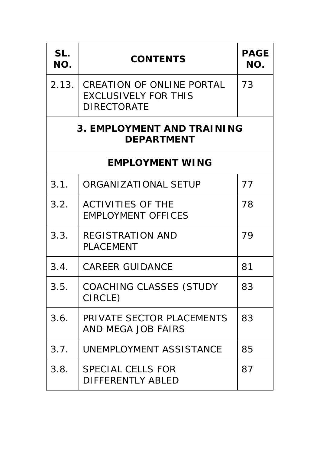| SL.<br>NO.                                             | <b>CONTENTS</b>                                                                       | <b>PAGE</b><br>NO. |
|--------------------------------------------------------|---------------------------------------------------------------------------------------|--------------------|
| 2.13.                                                  | <b>CREATION OF ONLINE PORTAL</b><br><b>EXCLUSIVELY FOR THIS</b><br><b>DIRECTORATE</b> | 73                 |
| <b>3. EMPLOYMENT AND TRAINING</b><br><b>DEPARTMENT</b> |                                                                                       |                    |
| <b>EMPLOYMENT WING</b>                                 |                                                                                       |                    |
| 3.1.                                                   | <b>ORGANIZATIONAL SETUP</b>                                                           | 77                 |
| 3.2.                                                   | <b>ACTIVITIES OF THE</b><br><b>EMPLOYMENT OFFICES</b>                                 | 78                 |
| 3.3.                                                   | <b>REGISTRATION AND</b><br><b>PLACEMENT</b>                                           | 79                 |
| 3.4.                                                   | <b>CAREER GUIDANCE</b>                                                                | 81                 |
| 3.5.                                                   | <b>COACHING CLASSES (STUDY</b><br>CIRCLE)                                             | 83                 |
| 3.6.                                                   | PRIVATE SECTOR PLACEMENTS<br><b>AND MEGA JOB FAIRS</b>                                | 83                 |
| 3.7.                                                   | <b>UNEMPLOYMENT ASSISTANCE</b>                                                        | 85                 |
| 3.8.                                                   | <b>SPECIAL CELLS FOR</b><br><b>DIFFERENTLY ABLED</b>                                  | 87                 |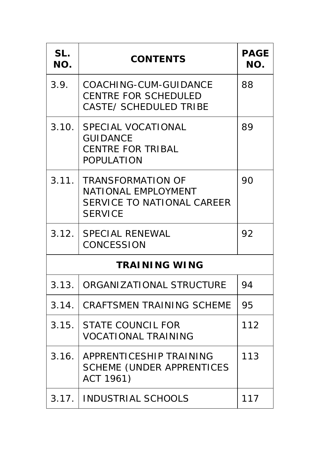| SL.<br>NO. | <b>CONTENTS</b>                                                                                               | <b>PAGE</b><br>NO. |
|------------|---------------------------------------------------------------------------------------------------------------|--------------------|
| 3.9.       | <b>COACHING-CUM-GUIDANCE</b><br><b>CENTRE FOR SCHEDULED</b><br><b>CASTE/ SCHEDULED TRIBE</b>                  | 88                 |
| 3.10.      | <b>SPECIAL VOCATIONAL</b><br><b>GUIDANCE</b><br><b>CENTRE FOR TRIBAL</b><br><b>POPULATION</b>                 | 89                 |
| 3.11.      | <b>TRANSFORMATION OF</b><br><b>NATIONAL EMPLOYMENT</b><br><b>SERVICE TO NATIONAL CAREER</b><br><b>SERVICE</b> | 90                 |
|            | 3.12. SPECIAL RENEWAL<br><b>CONCESSION</b>                                                                    | 92                 |
|            | <b>TRAINING WING</b>                                                                                          |                    |
| 3.13.      | <b>ORGANIZATIONAL STRUCTURE</b>                                                                               | 94                 |
| 3.14.      | <b>CRAFTSMEN TRAINING SCHEME</b>                                                                              | 95                 |
| 3.15.      | <b>STATE COUNCIL FOR</b><br><b>VOCATIONAL TRAINING</b>                                                        | 112                |
| 3.16.      | APPRENTICESHIP TRAINING<br><b>SCHEME (UNDER APPRENTICES</b><br><b>ACT 1961)</b>                               | 113                |
|            | 3.17.   INDUSTRIAL SCHOOLS                                                                                    | 117                |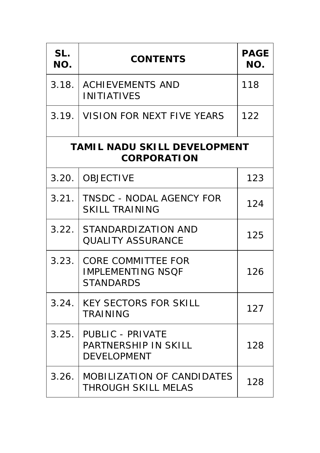| SL.<br>NO.                                                | <b>CONTENTS</b>                                                              | <b>PAGE</b><br>NO. |
|-----------------------------------------------------------|------------------------------------------------------------------------------|--------------------|
| 3.18.                                                     | <b>ACHIEVEMENTS AND</b><br><b>INITIATIVES</b>                                | 118                |
| 3.19.                                                     | VISION FOR NEXT FIVE YEARS                                                   | 122                |
| <b>TAMIL NADU SKILL DEVELOPMENT</b><br><b>CORPORATION</b> |                                                                              |                    |
| 3.20.                                                     | <b>OBJECTIVE</b>                                                             | 123                |
| 3.21.                                                     | <b>TNSDC - NODAL AGENCY FOR</b><br><b>SKILL TRAINING</b>                     | 124                |
| 3.22.                                                     | <b>STANDARDIZATION AND</b><br><b>QUALITY ASSURANCE</b>                       | 125                |
| 3.23.                                                     | <b>CORE COMMITTEE FOR</b><br><b>IMPLEMENTING NSQF</b><br><b>STANDARDS</b>    | 126                |
| 3.24.                                                     | <b>KEY SECTORS FOR SKILL</b><br><b>TRAINING</b>                              | 127                |
| 3.25.                                                     | <b>PUBLIC - PRIVATE</b><br><b>PARTNERSHIP IN SKILL</b><br><b>DEVELOPMENT</b> | 128                |
|                                                           | 3.26. MOBILIZATION OF CANDIDATES<br><b>THROUGH SKILL MELAS</b>               | 128                |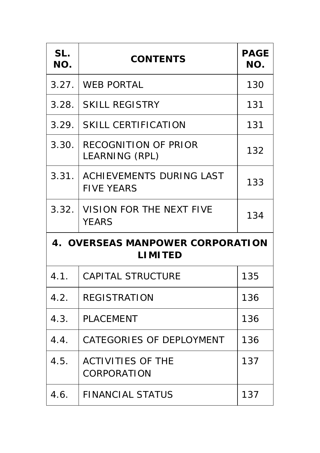| SL.<br>NO.                                         | <b>CONTENTS</b>                                      | <b>PAGE</b><br>NO. |
|----------------------------------------------------|------------------------------------------------------|--------------------|
| 3.27.                                              | <b>WEB PORTAL</b>                                    | 130                |
| 3.28.                                              | <b>SKILL REGISTRY</b>                                | 131                |
| 3.29.                                              | <b>SKILL CERTIFICATION</b>                           | 131                |
| 3.30.                                              | <b>RECOGNITION OF PRIOR</b><br><b>LEARNING (RPL)</b> | 132                |
| 3.31.                                              | <b>ACHIEVEMENTS DURING LAST</b><br><b>FIVE YEARS</b> | 133                |
| 3.32.                                              | <b>VISION FOR THE NEXT FIVE</b><br><b>YEARS</b>      | 134                |
| 4. OVERSEAS MANPOWER CORPORATION<br><b>LIMITED</b> |                                                      |                    |
| 4.1.                                               | <b>CAPITAL STRUCTURE</b>                             | 135                |
| 4.2.                                               | <b>REGISTRATION</b>                                  | 136                |
| 4.3.                                               | <b>PLACEMENT</b>                                     | 136                |
| 4.4.                                               | <b>CATEGORIES OF DEPLOYMENT</b>                      | 136                |
| 4.5.                                               | <b>ACTIVITIES OF THE</b><br><b>CORPORATION</b>       | 137                |
| 4.6.                                               | <b>FINANCIAL STATUS</b>                              | 137                |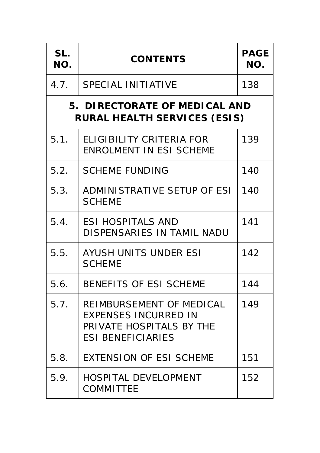| SL.<br>NO.                                                           | <b>CONTENTS</b>                                                                                                        | <b>PAGE</b><br>NO. |
|----------------------------------------------------------------------|------------------------------------------------------------------------------------------------------------------------|--------------------|
| 4.7.                                                                 | <b>SPECIAL INITIATIVE</b>                                                                                              | 138                |
| 5. DIRECTORATE OF MEDICAL AND<br><b>RURAL HEALTH SERVICES (ESIS)</b> |                                                                                                                        |                    |
| 5.1.                                                                 | <b>ELIGIBILITY CRITERIA FOR</b><br><b>ENROLMENT IN ESI SCHEME</b>                                                      | 139                |
| 5.2.                                                                 | <b>SCHEME FUNDING</b>                                                                                                  | 140                |
| 5.3.                                                                 | ADMINISTRATIVE SETUP OF ESI<br><b>SCHEME</b>                                                                           | 140                |
| 5.4.                                                                 | <b>ESI HOSPITALS AND</b><br>DISPENSARIES IN TAMIL NADU                                                                 | 141                |
| 5.5.                                                                 | <b>AYUSH UNITS UNDER ESI</b><br><b>SCHEME</b>                                                                          | 142                |
| 5.6.                                                                 | <b>BENEFITS OF ESI SCHEME</b>                                                                                          | 144                |
| 5.7.                                                                 | <b>REIMBURSEMENT OF MEDICAL</b><br><b>EXPENSES INCURRED IN</b><br>PRIVATE HOSPITALS BY THE<br><b>ESI BENEFICIARIES</b> | 149                |
| 5.8.                                                                 | <b>EXTENSION OF ESI SCHEME</b>                                                                                         | 151                |
| 5.9.                                                                 | <b>HOSPITAL DEVELOPMENT</b><br><b>COMMITTEE</b>                                                                        | 152                |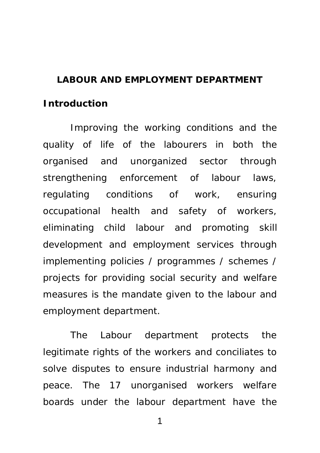#### **LABOUR AND EMPLOYMENT DEPARTMENT**

#### **Introduction**

Improving the working conditions and the quality of life of the labourers in both the organised and unorganized sector through strengthening enforcement of labour laws, regulating conditions of work, ensuring occupational health and safety of workers, eliminating child labour and promoting skill development and employment services through implementing policies / programmes / schemes / projects for providing social security and welfare measures is the mandate given to the labour and employment department.

The Labour department protects the legitimate rights of the workers and conciliates to solve disputes to ensure industrial harmony and peace. The 17 unorganised workers welfare boards under the labour department have the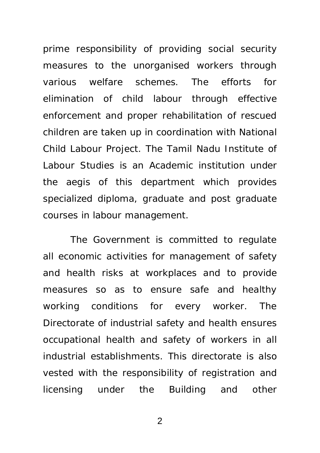prime responsibility of providing social security measures to the unorganised workers through various welfare schemes. The efforts for elimination of child labour through effective enforcement and proper rehabilitation of rescued children are taken up in coordination with National Child Labour Project. The Tamil Nadu Institute of Labour Studies is an Academic institution under the aegis of this department which provides specialized diploma, graduate and post graduate courses in labour management.

The Government is committed to regulate all economic activities for management of safety and health risks at workplaces and to provide measures so as to ensure safe and healthy working conditions for every worker. The Directorate of industrial safety and health ensures occupational health and safety of workers in all industrial establishments. This directorate is also vested with the responsibility of registration and licensing under the Building and other

 $\mathfrak{D}$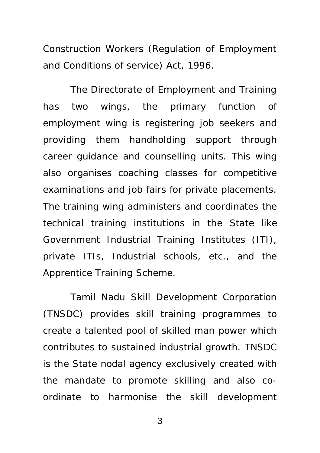Construction Workers (Regulation of Employment and Conditions of service) Act, 1996.

The Directorate of Employment and Training has two wings, the primary function of employment wing is registering job seekers and providing them handholding support through career guidance and counselling units. This wing also organises coaching classes for competitive examinations and job fairs for private placements. The training wing administers and coordinates the technical training institutions in the State like Government Industrial Training Institutes (ITI), private ITIs, Industrial schools, etc., and the Apprentice Training Scheme.

Tamil Nadu Skill Development Corporation (TNSDC) provides skill training programmes to create a talented pool of skilled man power which contributes to sustained industrial growth. TNSDC is the State nodal agency exclusively created with the mandate to promote skilling and also coordinate to harmonise the skill development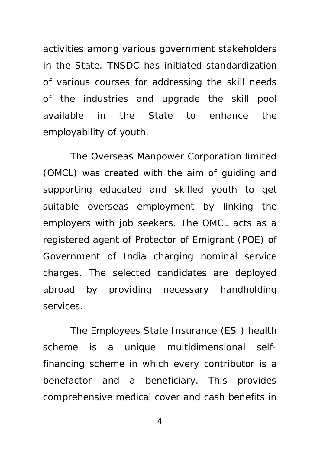activities among various government stakeholders in the State. TNSDC has initiated standardization of various courses for addressing the skill needs of the industries and upgrade the skill pool available in the State to enhance the employability of youth.

The Overseas Manpower Corporation limited (OMCL) was created with the aim of guiding and supporting educated and skilled youth to get suitable overseas employment by linking the employers with job seekers. The OMCL acts as a registered agent of Protector of Emigrant (POE) of Government of India charging nominal service charges. The selected candidates are deployed abroad by providing necessary handholding services.

The Employees State Insurance (ESI) health scheme is a unique multidimensional selffinancing scheme in which every contributor is a benefactor and a beneficiary. This provides comprehensive medical cover and cash benefits in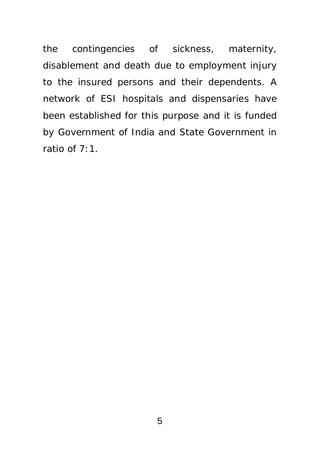the contingencies of sickness, maternity, disablement and death due to employment injury to the insured persons and their dependents. A network of ESI hospitals and dispensaries have been established for this purpose and it is funded by Government of India and State Government in ratio of 7:1.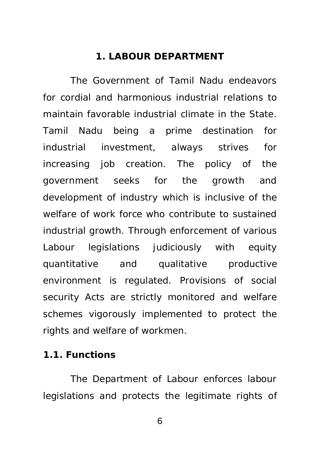#### **1. LABOUR DEPARTMENT**

The Government of Tamil Nadu endeavors for cordial and harmonious industrial relations to maintain favorable industrial climate in the State. Tamil Nadu being a prime destination for industrial investment, always strives for increasing job creation. The policy of the government seeks for the growth and development of industry which is inclusive of the welfare of work force who contribute to sustained industrial growth. Through enforcement of various Labour legislations judiciously with equity quantitative and qualitative productive environment is regulated. Provisions of social security Acts are strictly monitored and welfare schemes vigorously implemented to protect the rights and welfare of workmen.

#### **1.1. Functions**

The Department of Labour enforces labour legislations and protects the legitimate rights of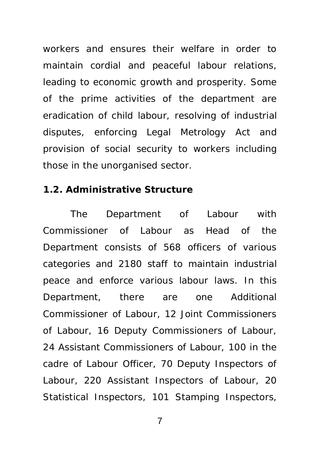workers and ensures their welfare in order to maintain cordial and peaceful labour relations, leading to economic growth and prosperity. Some of the prime activities of the department are eradication of child labour, resolving of industrial disputes, enforcing Legal Metrology Act and provision of social security to workers including those in the unorganised sector.

#### **1.2. Administrative Structure**

The Department of Labour with Commissioner of Labour as Head of the Department consists of 568 officers of various categories and 2180 staff to maintain industrial peace and enforce various labour laws. In this Department, there are one Additional Commissioner of Labour, 12 Joint Commissioners of Labour, 16 Deputy Commissioners of Labour, 24 Assistant Commissioners of Labour, 100 in the cadre of Labour Officer, 70 Deputy Inspectors of Labour, 220 Assistant Inspectors of Labour, 20 Statistical Inspectors, 101 Stamping Inspectors,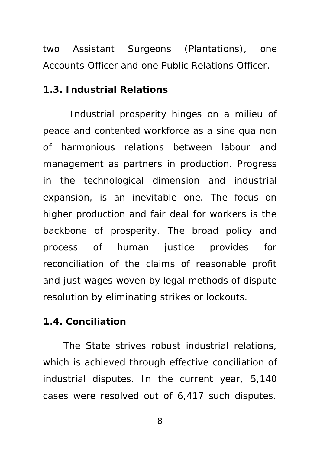two Assistant Surgeons (Plantations), one Accounts Officer and one Public Relations Officer.

#### **1.3. Industrial Relations**

Industrial prosperity hinges on a milieu of peace and contented workforce as a sine qua non of harmonious relations between labour and management as partners in production. Progress in the technological dimension and industrial expansion, is an inevitable one. The focus on higher production and fair deal for workers is the backbone of prosperity. The broad policy and process of human justice provides for reconciliation of the claims of reasonable profit and just wages woven by legal methods of dispute resolution by eliminating strikes or lockouts.

#### **1.4. Conciliation**

The State strives robust industrial relations, which is achieved through effective conciliation of industrial disputes. In the current year, 5,140 cases were resolved out of 6,417 such disputes.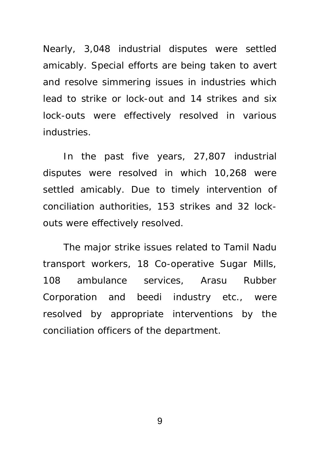Nearly, 3,048 industrial disputes were settled amicably. Special efforts are being taken to avert and resolve simmering issues in industries which lead to strike or lock-out and 14 strikes and six lock-outs were effectively resolved in various industries.

In the past five years, 27,807 industrial disputes were resolved in which 10,268 were settled amicably. Due to timely intervention of conciliation authorities, 153 strikes and 32 lockouts were effectively resolved.

The major strike issues related to Tamil Nadu transport workers, 18 Co-operative Sugar Mills, 108 ambulance services, Arasu Rubber Corporation and beedi industry etc., were resolved by appropriate interventions by the conciliation officers of the department.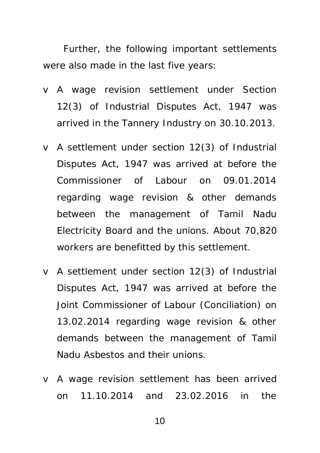Further, the following important settlements were also made in the last five years:

- v A wage revision settlement under Section 12(3) of Industrial Disputes Act, 1947 was arrived in the Tannery Industry on 30.10.2013.
- v A settlement under section 12(3) of Industrial Disputes Act, 1947 was arrived at before the Commissioner of Labour on 09.01.2014 regarding wage revision & other demands between the management of Tamil Nadu Electricity Board and the unions. About 70,820 workers are benefitted by this settlement.
- v A settlement under section 12(3) of Industrial Disputes Act, 1947 was arrived at before the Joint Commissioner of Labour (Conciliation) on 13.02.2014 regarding wage revision & other demands between the management of Tamil Nadu Asbestos and their unions.
- v A wage revision settlement has been arrived on 11.10.2014 and 23.02.2016 in the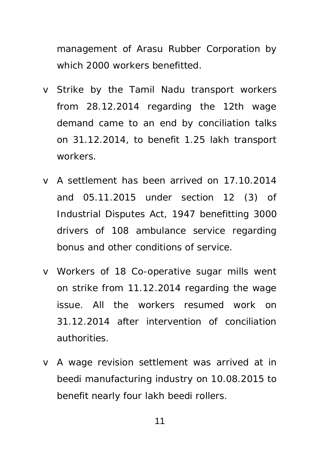management of Arasu Rubber Corporation by which 2000 workers benefitted

- v Strike by the Tamil Nadu transport workers from 28.12.2014 regarding the 12th wage demand came to an end by conciliation talks on 31.12.2014, to benefit 1.25 lakh transport workers.
- v A settlement has been arrived on 17.10.2014 and 05.11.2015 under section 12 (3) of Industrial Disputes Act, 1947 benefitting 3000 drivers of 108 ambulance service regarding bonus and other conditions of service.
- v Workers of 18 Co-operative sugar mills went on strike from 11.12.2014 regarding the wage issue. All the workers resumed work on 31.12.2014 after intervention of conciliation authorities.
- v A wage revision settlement was arrived at in beedi manufacturing industry on 10.08.2015 to benefit nearly four lakh beedi rollers.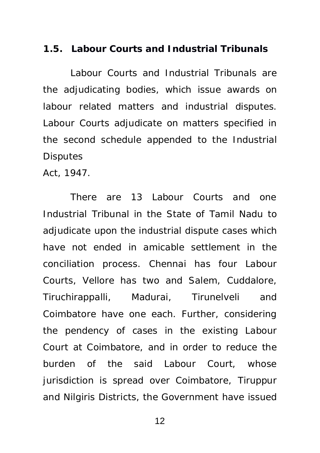#### **1.5. Labour Courts and Industrial Tribunals**

Labour Courts and Industrial Tribunals are the adjudicating bodies, which issue awards on labour related matters and industrial disputes. Labour Courts adjudicate on matters specified in the second schedule appended to the Industrial **Disputes** 

Act, 1947.

There are 13 Labour Courts and one Industrial Tribunal in the State of Tamil Nadu to adjudicate upon the industrial dispute cases which have not ended in amicable settlement in the conciliation process. Chennai has four Labour Courts, Vellore has two and Salem, Cuddalore, Tiruchirappalli, Madurai, Tirunelveli and Coimbatore have one each. Further, considering the pendency of cases in the existing Labour Court at Coimbatore, and in order to reduce the burden of the said Labour Court, whose jurisdiction is spread over Coimbatore, Tiruppur and Nilgiris Districts, the Government have issued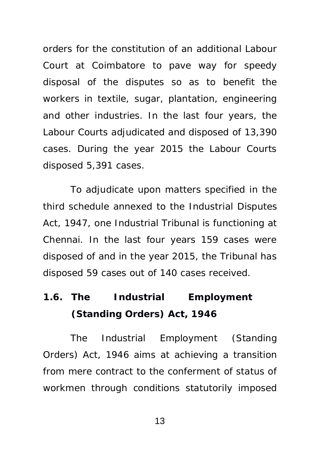orders for the constitution of an additional Labour Court at Coimbatore to pave way for speedy disposal of the disputes so as to benefit the workers in textile, sugar, plantation, engineering and other industries. In the last four years, the Labour Courts adjudicated and disposed of 13,390 cases. During the year 2015 the Labour Courts disposed 5,391 cases.

To adjudicate upon matters specified in the third schedule annexed to the Industrial Disputes Act, 1947, one Industrial Tribunal is functioning at Chennai. In the last four years 159 cases were disposed of and in the year 2015, the Tribunal has disposed 59 cases out of 140 cases received.

## **1.6. The Industrial Employment (Standing Orders) Act, 1946**

The Industrial Employment (Standing Orders) Act, 1946 aims at achieving a transition from mere contract to the conferment of status of workmen through conditions statutorily imposed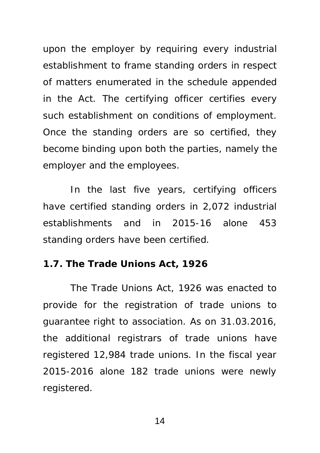upon the employer by requiring every industrial establishment to frame standing orders in respect of matters enumerated in the schedule appended in the Act. The certifying officer certifies every such establishment on conditions of employment. Once the standing orders are so certified, they become binding upon both the parties, namely the employer and the employees.

In the last five years, certifying officers have certified standing orders in 2,072 industrial establishments and in 2015-16 alone 453 standing orders have been certified.

#### **1.7. The Trade Unions Act, 1926**

The Trade Unions Act, 1926 was enacted to provide for the registration of trade unions to guarantee right to association. As on 31.03.2016, the additional registrars of trade unions have registered 12,984 trade unions. In the fiscal year 2015-2016 alone 182 trade unions were newly registered.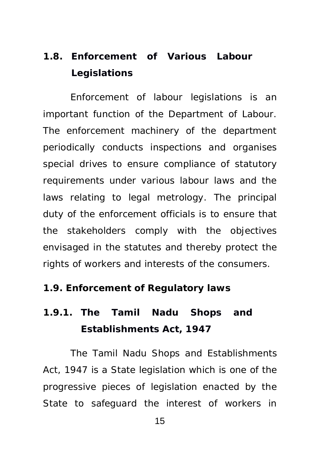## **1.8. Enforcement of Various Labour Legislations**

Enforcement of labour legislations is an important function of the Department of Labour. The enforcement machinery of the department periodically conducts inspections and organises special drives to ensure compliance of statutory requirements under various labour laws and the laws relating to legal metrology. The principal duty of the enforcement officials is to ensure that the stakeholders comply with the objectives envisaged in the statutes and thereby protect the rights of workers and interests of the consumers.

#### **1.9. Enforcement of Regulatory laws**

## **1.9.1. The Tamil Nadu Shops and Establishments Act, 1947**

The Tamil Nadu Shops and Establishments Act, 1947 is a State legislation which is one of the progressive pieces of legislation enacted by the State to safeguard the interest of workers in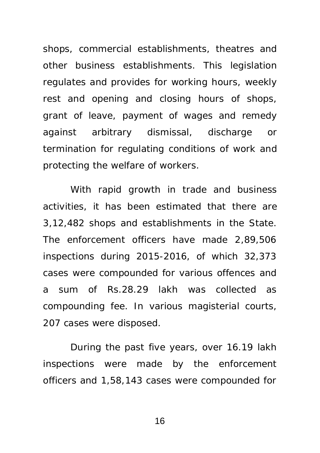shops, commercial establishments, theatres and other business establishments. This legislation regulates and provides for working hours, weekly rest and opening and closing hours of shops, grant of leave, payment of wages and remedy against arbitrary dismissal, discharge or termination for regulating conditions of work and protecting the welfare of workers.

With rapid growth in trade and business activities, it has been estimated that there are 3,12,482 shops and establishments in the State. The enforcement officers have made 2,89,506 inspections during 2015-2016, of which 32,373 cases were compounded for various offences and a sum of Rs.28.29 lakh was collected as compounding fee. In various magisterial courts, 207 cases were disposed.

During the past five years, over 16.19 lakh inspections were made by the enforcement officers and 1,58,143 cases were compounded for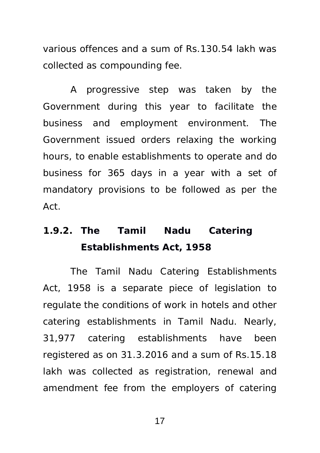various offences and a sum of Rs.130.54 lakh was collected as compounding fee.

A progressive step was taken by the Government during this year to facilitate the business and employment environment. The Government issued orders relaxing the working hours, to enable establishments to operate and do business for 365 days in a year with a set of mandatory provisions to be followed as per the Act.

### **1.9.2. The Tamil Nadu Catering Establishments Act, 1958**

The Tamil Nadu Catering Establishments Act, 1958 is a separate piece of legislation to regulate the conditions of work in hotels and other catering establishments in Tamil Nadu. Nearly, 31,977 catering establishments have been registered as on 31.3.2016 and a sum of Rs.15.18 lakh was collected as registration, renewal and amendment fee from the employers of catering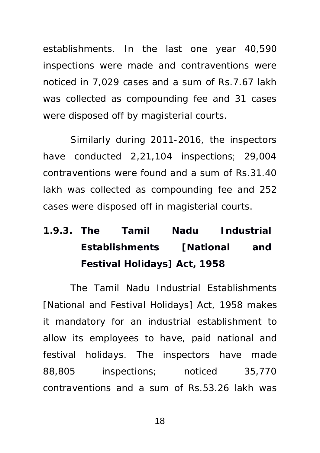establishments. In the last one year 40,590 inspections were made and contraventions were noticed in 7,029 cases and a sum of Rs.7.67 lakh was collected as compounding fee and 31 cases were disposed off by magisterial courts.

Similarly during 2011-2016, the inspectors have conducted 2,21,104 inspections; 29,004 contraventions were found and a sum of Rs.31.40 lakh was collected as compounding fee and 252 cases were disposed off in magisterial courts.

# **1.9.3. The Tamil Nadu Industrial Establishments [National and Festival Holidays] Act, 1958**

The Tamil Nadu Industrial Establishments [National and Festival Holidays] Act, 1958 makes it mandatory for an industrial establishment to allow its employees to have, paid national and festival holidays. The inspectors have made 88,805 inspections; noticed 35,770 contraventions and a sum of Rs.53.26 lakh was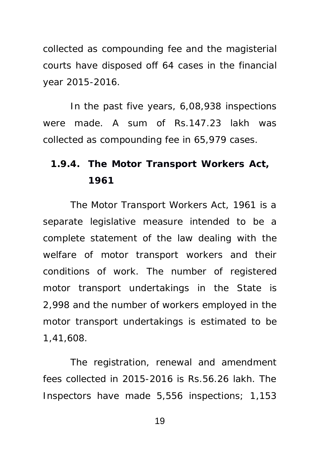collected as compounding fee and the magisterial courts have disposed off 64 cases in the financial year 2015-2016.

In the past five years, 6,08,938 inspections were made. A sum of Rs.147.23 lakh was collected as compounding fee in 65,979 cases.

### **1.9.4. The Motor Transport Workers Act, 1961**

The Motor Transport Workers Act, 1961 is a separate legislative measure intended to be a complete statement of the law dealing with the welfare of motor transport workers and their conditions of work. The number of registered motor transport undertakings in the State is 2,998 and the number of workers employed in the motor transport undertakings is estimated to be 1,41,608.

The registration, renewal and amendment fees collected in 2015-2016 is Rs.56.26 lakh. The Inspectors have made 5,556 inspections; 1,153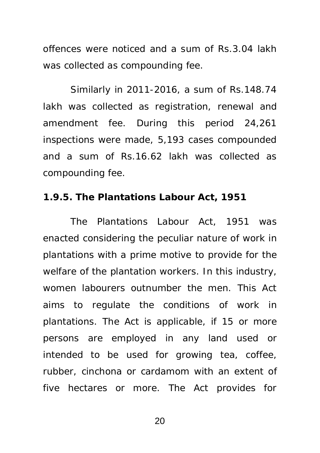offences were noticed and a sum of Rs.3.04 lakh was collected as compounding fee.

Similarly in 2011-2016, a sum of Rs.148.74 lakh was collected as registration, renewal and amendment fee. During this period 24,261 inspections were made, 5,193 cases compounded and a sum of Rs.16.62 lakh was collected as compounding fee.

#### **1.9.5. The Plantations Labour Act, 1951**

The Plantations Labour Act, 1951 was enacted considering the peculiar nature of work in plantations with a prime motive to provide for the welfare of the plantation workers. In this industry, women labourers outnumber the men. This Act aims to regulate the conditions of work in plantations. The Act is applicable, if 15 or more persons are employed in any land used or intended to be used for growing tea, coffee, rubber, cinchona or cardamom with an extent of five hectares or more. The Act provides for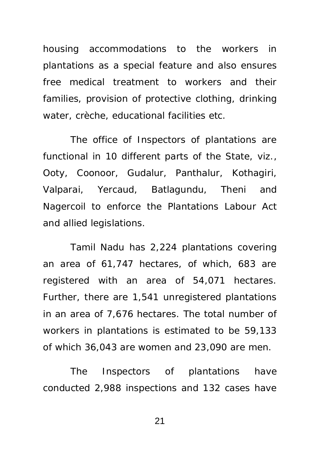housing accommodations to the workers in plantations as a special feature and also ensures free medical treatment to workers and their families, provision of protective clothing, drinking water, crèche, educational facilities etc.

The office of Inspectors of plantations are functional in 10 different parts of the State, viz., Ooty, Coonoor, Gudalur, Panthalur, Kothagiri, Valparai, Yercaud, Batlagundu, Theni and Nagercoil to enforce the Plantations Labour Act and allied legislations.

Tamil Nadu has 2,224 plantations covering an area of 61,747 hectares, of which, 683 are registered with an area of 54,071 hectares. Further, there are 1,541 unregistered plantations in an area of 7,676 hectares. The total number of workers in plantations is estimated to be 59,133 of which 36,043 are women and 23,090 are men.

The Inspectors of plantations have conducted 2,988 inspections and 132 cases have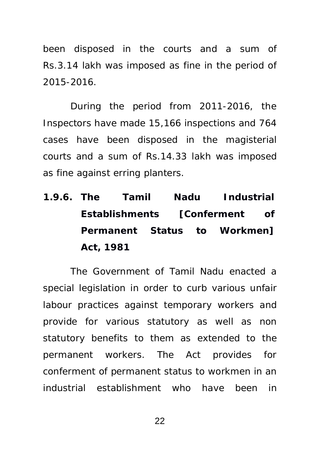been disposed in the courts and a sum of Rs.3.14 lakh was imposed as fine in the period of 2015-2016.

During the period from 2011-2016, the Inspectors have made 15,166 inspections and 764 cases have been disposed in the magisterial courts and a sum of Rs.14.33 lakh was imposed as fine against erring planters.

**1.9.6. The Tamil Nadu Industrial Establishments [Conferment of Permanent Status to Workmen] Act, 1981** 

The Government of Tamil Nadu enacted a special legislation in order to curb various unfair labour practices against temporary workers and provide for various statutory as well as non statutory benefits to them as extended to the permanent workers. The Act provides for conferment of permanent status to workmen in an industrial establishment who have been in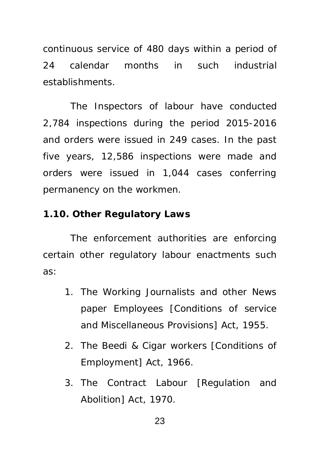continuous service of 480 days within a period of 24 calendar months in such industrial establishments.

The Inspectors of labour have conducted 2,784 inspections during the period 2015-2016 and orders were issued in 249 cases. In the past five years, 12,586 inspections were made and orders were issued in 1,044 cases conferring permanency on the workmen.

#### **1.10. Other Regulatory Laws**

The enforcement authorities are enforcing certain other regulatory labour enactments such as:

- 1. The Working Journalists and other News paper Employees [Conditions of service and Miscellaneous Provisions] Act, 1955.
- 2. The Beedi & Cigar workers [Conditions of Employment] Act, 1966.
- 3. The Contract Labour [Regulation and Abolition] Act, 1970.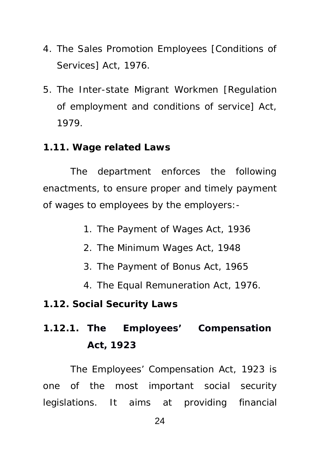- 4. The Sales Promotion Employees [Conditions of Services] Act, 1976.
- 5. The Inter-state Migrant Workmen [Regulation of employment and conditions of service] Act, 1979.
- **1.11. Wage related Laws**

The department enforces the following enactments, to ensure proper and timely payment of wages to employees by the employers:-

- 1. The Payment of Wages Act, 1936
- 2. The Minimum Wages Act, 1948
- 3. The Payment of Bonus Act, 1965
- 4. The Equal Remuneration Act, 1976.
- **1.12. Social Security Laws**
- **1.12.1. The Employees' Compensation Act, 1923**

The Employees' Compensation Act, 1923 is one of the most important social security legislations. It aims at providing financial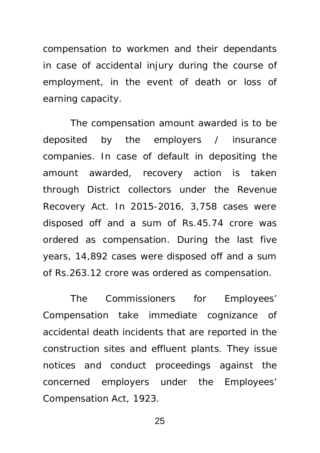compensation to workmen and their dependants in case of accidental injury during the course of employment, in the event of death or loss of earning capacity.

The compensation amount awarded is to be deposited by the employers / insurance companies. In case of default in depositing the amount awarded, recovery action is taken through District collectors under the Revenue Recovery Act. In 2015-2016, 3,758 cases were disposed off and a sum of Rs.45.74 crore was ordered as compensation. During the last five years, 14,892 cases were disposed off and a sum of Rs.263.12 crore was ordered as compensation.

The Commissioners for Employees' Compensation take immediate cognizance of accidental death incidents that are reported in the construction sites and effluent plants. They issue notices and conduct proceedings against the concerned employers under the Employees' Compensation Act, 1923.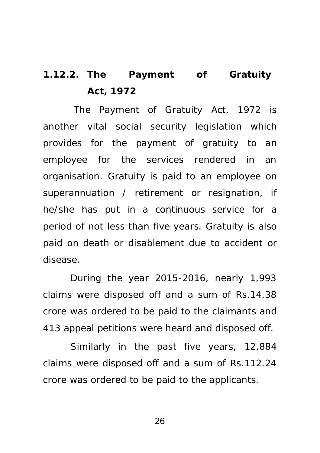## **1.12.2. The Payment of Gratuity Act, 1972**

 The Payment of Gratuity Act, 1972 is another vital social security legislation which provides for the payment of gratuity to an employee for the services rendered in an organisation. Gratuity is paid to an employee on superannuation / retirement or resignation, if he/she has put in a continuous service for a period of not less than five years. Gratuity is also paid on death or disablement due to accident or disease.

During the year 2015-2016, nearly 1,993 claims were disposed off and a sum of Rs.14.38 crore was ordered to be paid to the claimants and 413 appeal petitions were heard and disposed off.

Similarly in the past five years, 12,884 claims were disposed off and a sum of Rs.112.24 crore was ordered to be paid to the applicants.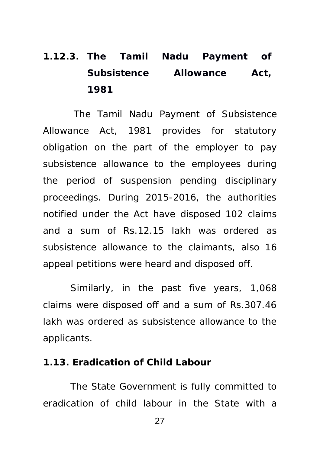# **1.12.3. The Tamil Nadu Payment of Subsistence Allowance Act, 1981**

 The Tamil Nadu Payment of Subsistence Allowance Act, 1981 provides for statutory obligation on the part of the employer to pay subsistence allowance to the employees during the period of suspension pending disciplinary proceedings. During 2015-2016, the authorities notified under the Act have disposed 102 claims and a sum of Rs.12.15 lakh was ordered as subsistence allowance to the claimants, also 16 appeal petitions were heard and disposed off.

Similarly, in the past five years, 1,068 claims were disposed off and a sum of Rs.307.46 lakh was ordered as subsistence allowance to the applicants.

#### **1.13. Eradication of Child Labour**

The State Government is fully committed to eradication of child labour in the State with a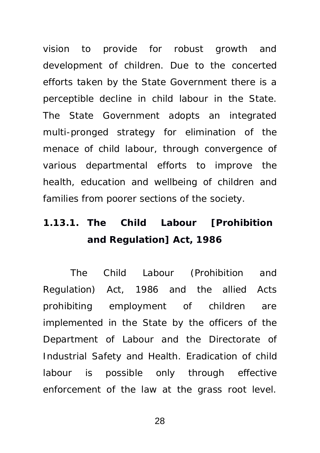vision to provide for robust growth and development of children. Due to the concerted efforts taken by the State Government there is a perceptible decline in child labour in the State. The State Government adopts an integrated multi-pronged strategy for elimination of the menace of child labour, through convergence of various departmental efforts to improve the health, education and wellbeing of children and families from poorer sections of the society.

## **1.13.1. The Child Labour [Prohibition and Regulation] Act, 1986**

The Child Labour (Prohibition and Regulation) Act, 1986 and the allied Acts prohibiting employment of children are implemented in the State by the officers of the Department of Labour and the Directorate of Industrial Safety and Health. Eradication of child labour is possible only through effective enforcement of the law at the grass root level.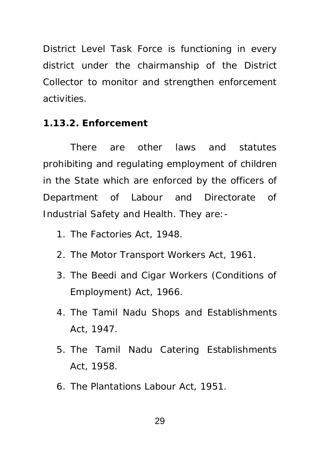District Level Task Force is functioning in every district under the chairmanship of the District Collector to monitor and strengthen enforcement activities.

## **1.13.2. Enforcement**

There are other laws and statutes prohibiting and regulating employment of children in the State which are enforced by the officers of Department of Labour and Directorate of Industrial Safety and Health. They are:-

- 1. The Factories Act, 1948.
- 2. The Motor Transport Workers Act, 1961.
- 3. The Beedi and Cigar Workers (Conditions of Employment) Act, 1966.
- 4. The Tamil Nadu Shops and Establishments Act, 1947.
- 5. The Tamil Nadu Catering Establishments Act, 1958.
- 6. The Plantations Labour Act, 1951.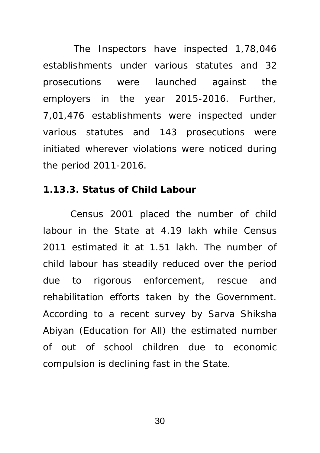The Inspectors have inspected 1,78,046 establishments under various statutes and 32 prosecutions were launched against the employers in the year 2015-2016. Further, 7,01,476 establishments were inspected under various statutes and 143 prosecutions were initiated wherever violations were noticed during the period 2011-2016.

#### **1.13.3. Status of Child Labour**

Census 2001 placed the number of child labour in the State at 4.19 lakh while Census 2011 estimated it at 1.51 lakh. The number of child labour has steadily reduced over the period due to rigorous enforcement, rescue and rehabilitation efforts taken by the Government. According to a recent survey by Sarva Shiksha Abiyan (Education for All) the estimated number of out of school children due to economic compulsion is declining fast in the State.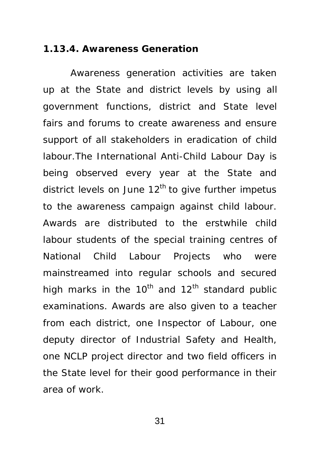#### **1.13.4. Awareness Generation**

Awareness generation activities are taken up at the State and district levels by using all government functions, district and State level fairs and forums to create awareness and ensure support of all stakeholders in eradication of child labour.The International Anti-Child Labour Day is being observed every year at the State and district levels on June  $12<sup>th</sup>$  to give further impetus to the awareness campaign against child labour. Awards are distributed to the erstwhile child labour students of the special training centres of National Child Labour Projects who were mainstreamed into regular schools and secured high marks in the 10<sup>th</sup> and 12<sup>th</sup> standard public examinations. Awards are also given to a teacher from each district, one Inspector of Labour, one deputy director of Industrial Safety and Health, one NCLP project director and two field officers in the State level for their good performance in their area of work.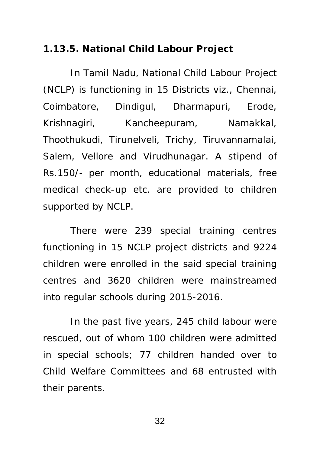### **1.13.5. National Child Labour Project**

In Tamil Nadu, National Child Labour Project (NCLP) is functioning in 15 Districts viz., Chennai, Coimbatore, Dindigul, Dharmapuri, Erode, Krishnagiri, Kancheepuram, Namakkal, Thoothukudi, Tirunelveli, Trichy, Tiruvannamalai, Salem, Vellore and Virudhunagar. A stipend of Rs.150/- per month, educational materials, free medical check-up etc. are provided to children supported by NCLP.

There were 239 special training centres functioning in 15 NCLP project districts and 9224 children were enrolled in the said special training centres and 3620 children were mainstreamed into regular schools during 2015-2016.

In the past five years, 245 child labour were rescued, out of whom 100 children were admitted in special schools; 77 children handed over to Child Welfare Committees and 68 entrusted with their parents.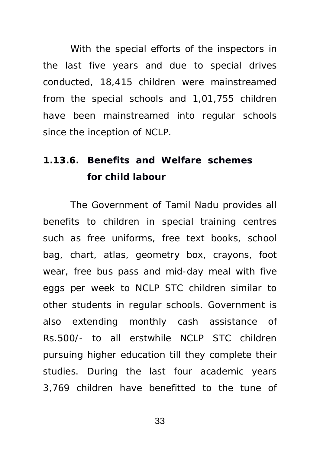With the special efforts of the inspectors in the last five years and due to special drives conducted, 18,415 children were mainstreamed from the special schools and 1,01,755 children have been mainstreamed into regular schools since the inception of NCLP.

# **1.13.6. Benefits and Welfare schemes for child labour**

The Government of Tamil Nadu provides all benefits to children in special training centres such as free uniforms, free text books, school bag, chart, atlas, geometry box, crayons, foot wear, free bus pass and mid-day meal with five eggs per week to NCLP STC children similar to other students in regular schools. Government is also extending monthly cash assistance of Rs.500/- to all erstwhile NCLP STC children pursuing higher education till they complete their studies. During the last four academic years 3,769 children have benefitted to the tune of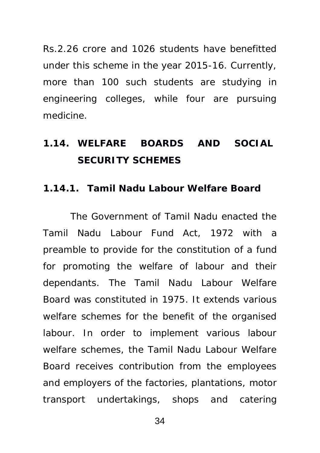Rs.2.26 crore and 1026 students have benefitted under this scheme in the year 2015-16. Currently, more than 100 such students are studying in engineering colleges, while four are pursuing medicine.

## **1.14. WELFARE BOARDS AND SOCIAL SECURITY SCHEMES**

### **1.14.1. Tamil Nadu Labour Welfare Board**

The Government of Tamil Nadu enacted the Tamil Nadu Labour Fund Act, 1972 with a preamble to provide for the constitution of a fund for promoting the welfare of labour and their dependants. The Tamil Nadu Labour Welfare Board was constituted in 1975. It extends various welfare schemes for the benefit of the organised labour. In order to implement various labour welfare schemes, the Tamil Nadu Labour Welfare Board receives contribution from the employees and employers of the factories, plantations, motor transport undertakings, shops and catering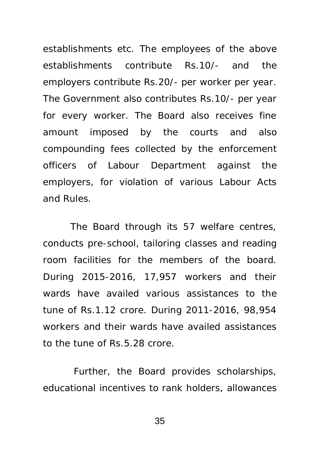establishments etc. The employees of the above establishments contribute Rs.10/- and the employers contribute Rs.20/- per worker per year. The Government also contributes Rs.10/- per year for every worker. The Board also receives fine amount imposed by the courts and also compounding fees collected by the enforcement officers of Labour Department against the employers, for violation of various Labour Acts and Rules.

The Board through its 57 welfare centres, conducts pre-school, tailoring classes and reading room facilities for the members of the board. During 2015-2016, 17,957 workers and their wards have availed various assistances to the tune of Rs.1.12 crore. During 2011-2016, 98,954 workers and their wards have availed assistances to the tune of Rs.5.28 crore.

 Further, the Board provides scholarships, educational incentives to rank holders, allowances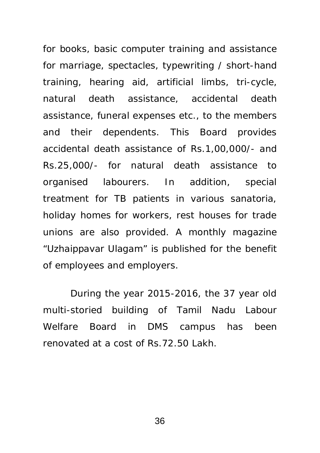for books, basic computer training and assistance for marriage, spectacles, typewriting / short-hand training, hearing aid, artificial limbs, tri-cycle, natural death assistance, accidental death assistance, funeral expenses etc., to the members and their dependents. This Board provides accidental death assistance of Rs.1,00,000/- and Rs.25,000/- for natural death assistance to organised labourers. In addition, special treatment for TB patients in various sanatoria, holiday homes for workers, rest houses for trade unions are also provided. A monthly magazine "Uzhaippavar Ulagam" is published for the benefit of employees and employers.

During the year 2015-2016, the 37 year old multi-storied building of Tamil Nadu Labour Welfare Board in DMS campus has been renovated at a cost of Rs.72.50 Lakh.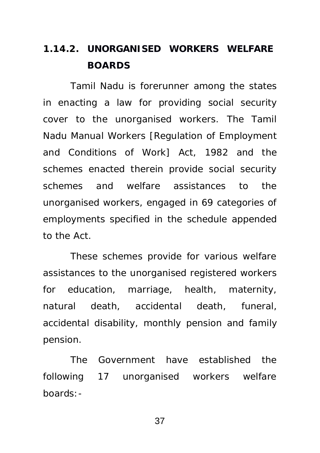## **1.14.2. UNORGANISED WORKERS WELFARE BOARDS**

Tamil Nadu is forerunner among the states in enacting a law for providing social security cover to the unorganised workers. The Tamil Nadu Manual Workers [Regulation of Employment and Conditions of Work] Act, 1982 and the schemes enacted therein provide social security schemes and welfare assistances to the unorganised workers, engaged in 69 categories of employments specified in the schedule appended to the Act.

These schemes provide for various welfare assistances to the unorganised registered workers for education, marriage, health, maternity, natural death, accidental death, funeral, accidental disability, monthly pension and family pension.

The Government have established the following 17 unorganised workers welfare boards:-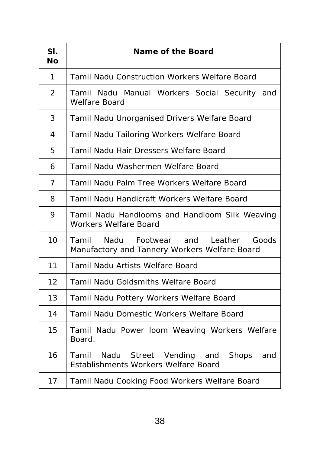| SI.<br>Nο      | Name of the Board                                                                               |  |  |
|----------------|-------------------------------------------------------------------------------------------------|--|--|
| 1              | <b>Tamil Nadu Construction Workers Welfare Board</b>                                            |  |  |
| $\overline{2}$ | Tamil Nadu Manual Workers Social Security and<br><b>Welfare Board</b>                           |  |  |
| 3              | Tamil Nadu Unorganised Drivers Welfare Board                                                    |  |  |
| 4              | Tamil Nadu Tailoring Workers Welfare Board                                                      |  |  |
| 5              | Tamil Nadu Hair Dressers Welfare Board                                                          |  |  |
| 6              | Tamil Nadu Washermen Welfare Board                                                              |  |  |
| $\overline{7}$ | Tamil Nadu Palm Tree Workers Welfare Board                                                      |  |  |
| 8              | Tamil Nadu Handicraft Workers Welfare Board                                                     |  |  |
| 9              | Tamil Nadu Handlooms and Handloom Silk Weaving<br>Workers Welfare Board                         |  |  |
| 10             | Tamil<br>Nadu<br>Footwear and Leather<br>Goods<br>Manufactory and Tannery Workers Welfare Board |  |  |
| 11             | <b>Tamil Nadu Artists Welfare Board</b>                                                         |  |  |
| 12             | <b>Tamil Nadu Goldsmiths Welfare Board</b>                                                      |  |  |
| 13             | Tamil Nadu Pottery Workers Welfare Board                                                        |  |  |
| 14             | <b>Tamil Nadu Domestic Workers Welfare Board</b>                                                |  |  |
| 15             | Tamil Nadu Power loom Weaving Workers Welfare<br>Board.                                         |  |  |
| 16             | Tamil<br>Nadu Street Vending and<br>Shops and<br><b>Establishments Workers Welfare Board</b>    |  |  |
| 17             | Tamil Nadu Cooking Food Workers Welfare Board                                                   |  |  |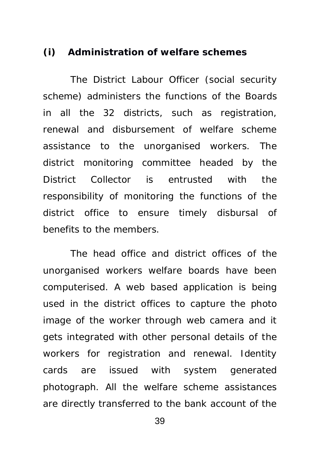### **(i) Administration of welfare schemes**

The District Labour Officer (social security scheme) administers the functions of the Boards in all the 32 districts, such as registration, renewal and disbursement of welfare scheme assistance to the unorganised workers. The district monitoring committee headed by the District Collector is entrusted with the responsibility of monitoring the functions of the district office to ensure timely disbursal of benefits to the members.

The head office and district offices of the unorganised workers welfare boards have been computerised. A web based application is being used in the district offices to capture the photo image of the worker through web camera and it gets integrated with other personal details of the workers for registration and renewal. Identity cards are issued with system generated photograph. All the welfare scheme assistances are directly transferred to the bank account of the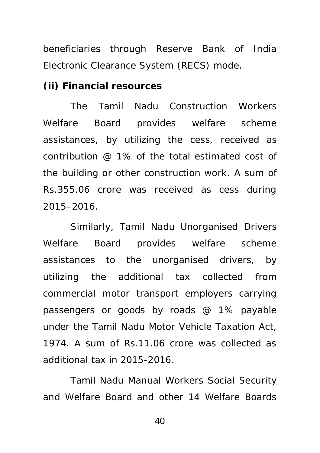beneficiaries through Reserve Bank of India Electronic Clearance System (RECS) mode.

**(ii) Financial resources** 

The Tamil Nadu Construction Workers Welfare Board provides welfare scheme assistances, by utilizing the cess, received as contribution @ 1% of the total estimated cost of the building or other construction work. A sum of Rs.355.06 crore was received as cess during 2015–2016.

Similarly, Tamil Nadu Unorganised Drivers Welfare Board provides welfare scheme assistances to the unorganised drivers, by utilizing the additional tax collected from commercial motor transport employers carrying passengers or goods by roads @ 1% payable under the Tamil Nadu Motor Vehicle Taxation Act, 1974. A sum of Rs.11.06 crore was collected as additional tax in 2015-2016.

Tamil Nadu Manual Workers Social Security and Welfare Board and other 14 Welfare Boards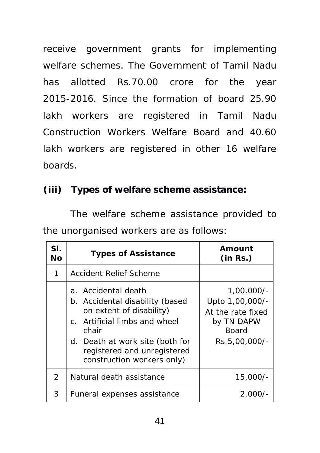receive government grants for implementing welfare schemes. The Government of Tamil Nadu has allotted Rs.70.00 crore for the year 2015-2016. Since the formation of board 25.90 lakh workers are registered in Tamil Nadu Construction Workers Welfare Board and 40.60 lakh workers are registered in other 16 welfare boards.

## **(iii) Types of welfare scheme assistance:**

The welfare scheme assistance provided to the unorganised workers are as follows:

| SI.<br>Νo     | <b>Types of Assistance</b>                                                                                                                                                                                                   | Amount<br>(in Rs.)                                                                                  |  |
|---------------|------------------------------------------------------------------------------------------------------------------------------------------------------------------------------------------------------------------------------|-----------------------------------------------------------------------------------------------------|--|
| 1             | <b>Accident Relief Scheme</b>                                                                                                                                                                                                |                                                                                                     |  |
|               | a. Accidental death<br>b. Accidental disability (based<br>on extent of disability)<br>c. Artificial limbs and wheel<br>chair<br>d. Death at work site (both for<br>registered and unregistered<br>construction workers only) | $1,00,000/-$<br>Upto 1,00,000/-<br>At the rate fixed<br>by TN DAPW<br><b>Board</b><br>Rs.5,00,000/- |  |
| $\mathcal{P}$ | Natural death assistance                                                                                                                                                                                                     | 15,000/-                                                                                            |  |
| 3             | Funeral expenses assistance                                                                                                                                                                                                  | $2,000/-$                                                                                           |  |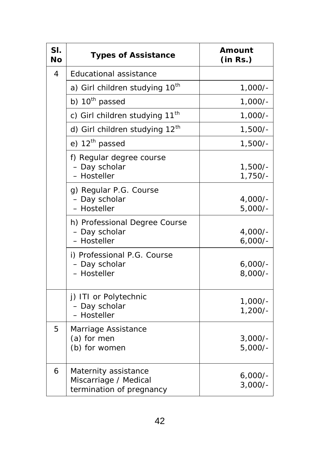| SI.<br><b>No</b> | <b>Types of Assistance</b>                                                | Amount<br>(in Rs.)     |  |
|------------------|---------------------------------------------------------------------------|------------------------|--|
| 4                | <b>Educational assistance</b>                                             |                        |  |
|                  | a) Girl children studying 10 <sup>th</sup>                                | $1,000/-$              |  |
|                  | b) 10 <sup>th</sup> passed                                                | $1,000/-$              |  |
|                  | c) Girl children studying 11 <sup>th</sup>                                | $1,000/-$              |  |
|                  | d) Girl children studying 12th                                            | $1,500/-$              |  |
|                  | e) 12 <sup>th</sup> passed                                                | $1,500/-$              |  |
|                  | f) Regular degree course<br>- Day scholar<br>- Hosteller                  | $1,500/-$<br>$1,750/-$ |  |
|                  | g) Regular P.G. Course<br>- Day scholar<br>- Hosteller                    | $4,000/-$<br>$5,000/-$ |  |
|                  | h) Professional Degree Course<br>- Day scholar<br>- Hosteller             | $4,000/-$<br>$6,000/-$ |  |
|                  | i) Professional P.G. Course<br>- Day scholar<br>- Hosteller               | $6,000/-$<br>$8,000/-$ |  |
|                  | j) ITI or Polytechnic<br>- Day scholar<br>- Hosteller                     | $1,000/-$<br>$1,200/-$ |  |
| 5.               | <b>Marriage Assistance</b><br>(a) for men<br>(b) for women                | $3,000/-$<br>$5,000/-$ |  |
| 6                | Maternity assistance<br>Miscarriage / Medical<br>termination of pregnancy | $6,000/-$<br>$3,000/-$ |  |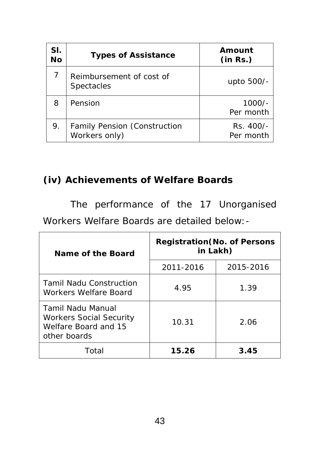| SI.<br><b>No</b> | <b>Types of Assistance</b>                           | Amount<br>(in Rs.)     |
|------------------|------------------------------------------------------|------------------------|
|                  | Reimbursement of cost of<br><b>Spectacles</b>        | upto 500/-             |
| 8                | Pension                                              | $1000/-$<br>Per month  |
| 9.               | <b>Family Pension (Construction</b><br>Workers only) | Rs. 400/-<br>Per month |

## **(iv) Achievements of Welfare Boards**

The performance of the 17 Unorganised

Workers Welfare Boards are detailed below:-

| Name of the Board                                                                                  | <b>Registration (No. of Persons</b><br>in Lakh) |           |  |
|----------------------------------------------------------------------------------------------------|-------------------------------------------------|-----------|--|
|                                                                                                    | 2011-2016                                       | 2015-2016 |  |
| <b>Tamil Nadu Construction</b><br><b>Workers Welfare Board</b>                                     | 4.95                                            | 1.39      |  |
| <b>Tamil Nadu Manual</b><br><b>Workers Social Security</b><br>Welfare Board and 15<br>other boards | 10.31                                           | 2.06      |  |
| Total                                                                                              | 15.26                                           | 3.45      |  |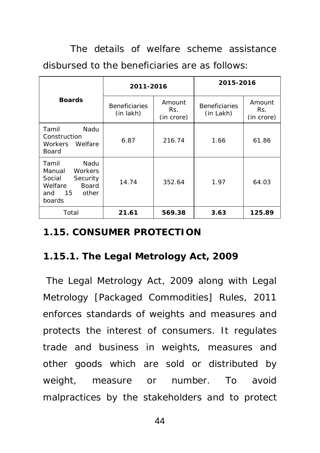The details of welfare scheme assistance disbursed to the beneficiaries are as follows:

|                                                                                                                     | 2011-2016                         |                             | 2015-2016                         |                             |
|---------------------------------------------------------------------------------------------------------------------|-----------------------------------|-----------------------------|-----------------------------------|-----------------------------|
| <b>Boards</b>                                                                                                       | <b>Beneficiaries</b><br>(in lakh) | Amount<br>Rs.<br>(in crore) | <b>Beneficiaries</b><br>(in Lakh) | Amount<br>Rs.<br>(in crore) |
| Tamil<br>Nadu<br>Construction<br>Workers Welfare<br>Board                                                           | 6.87                              | 216.74                      | 1.66                              | 61.86                       |
| Nadu<br>Tamil<br><b>Workers</b><br>Manual<br>Social<br>Security<br>Welfare<br>Board<br>15<br>other<br>and<br>boards | 14.74                             | 352.64                      | 1.97                              | 64.03                       |
| Total                                                                                                               | 21.61                             | 569.38                      | 3.63                              | 125.89                      |

### **1.15. CONSUMER PROTECTION**

### **1.15.1. The Legal Metrology Act, 2009**

 The Legal Metrology Act, 2009 along with Legal Metrology [Packaged Commodities] Rules, 2011 enforces standards of weights and measures and protects the interest of consumers. It regulates trade and business in weights, measures and other goods which are sold or distributed by weight, measure or number. To avoid malpractices by the stakeholders and to protect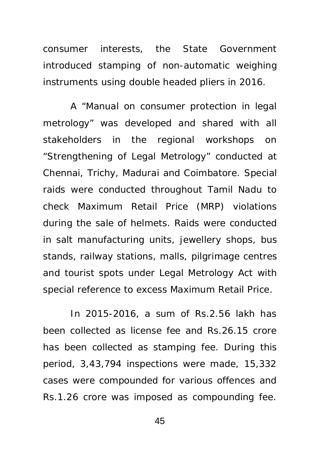consumer interests, the State Government introduced stamping of non-automatic weighing instruments using double headed pliers in 2016.

A "Manual on consumer protection in legal metrology" was developed and shared with all stakeholders in the regional workshops on "Strengthening of Legal Metrology" conducted at Chennai, Trichy, Madurai and Coimbatore. Special raids were conducted throughout Tamil Nadu to check Maximum Retail Price (MRP) violations during the sale of helmets. Raids were conducted in salt manufacturing units, jewellery shops, bus stands, railway stations, malls, pilgrimage centres and tourist spots under Legal Metrology Act with special reference to excess Maximum Retail Price.

In 2015-2016, a sum of Rs.2.56 lakh has been collected as license fee and Rs.26.15 crore has been collected as stamping fee. During this period, 3,43,794 inspections were made, 15,332 cases were compounded for various offences and Rs.1.26 crore was imposed as compounding fee.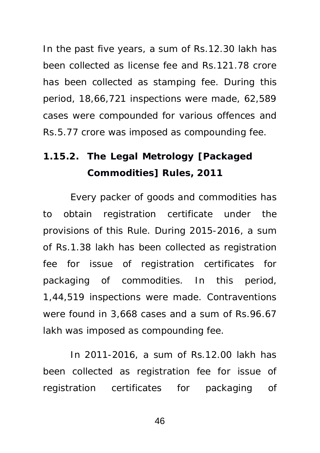In the past five years, a sum of Rs.12.30 lakh has been collected as license fee and Rs.121.78 crore has been collected as stamping fee. During this period, 18,66,721 inspections were made, 62,589 cases were compounded for various offences and Rs.5.77 crore was imposed as compounding fee.

# **1.15.2. The Legal Metrology [Packaged Commodities] Rules, 2011**

Every packer of goods and commodities has to obtain registration certificate under the provisions of this Rule. During 2015-2016, a sum of Rs.1.38 lakh has been collected as registration fee for issue of registration certificates for packaging of commodities. In this period, 1,44,519 inspections were made. Contraventions were found in 3,668 cases and a sum of Rs.96.67 lakh was imposed as compounding fee.

In 2011-2016, a sum of Rs.12.00 lakh has been collected as registration fee for issue of registration certificates for packaging of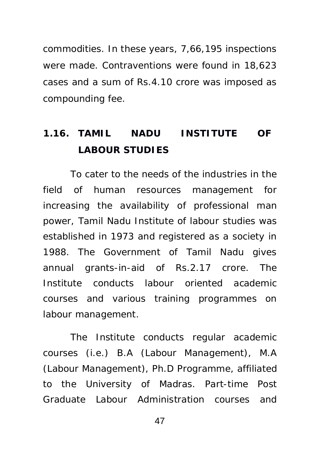commodities. In these years, 7,66,195 inspections were made. Contraventions were found in 18,623 cases and a sum of Rs.4.10 crore was imposed as compounding fee.

# **1.16. TAMIL NADU INSTITUTE OF LABOUR STUDIES**

To cater to the needs of the industries in the field of human resources management for increasing the availability of professional man power, Tamil Nadu Institute of labour studies was established in 1973 and registered as a society in 1988. The Government of Tamil Nadu gives annual grants-in-aid of Rs.2.17 crore. The Institute conducts labour oriented academic courses and various training programmes on labour management.

The Institute conducts regular academic courses (i.e.) B.A (Labour Management), M.A (Labour Management), Ph.D Programme, affiliated to the University of Madras. Part-time Post Graduate Labour Administration courses and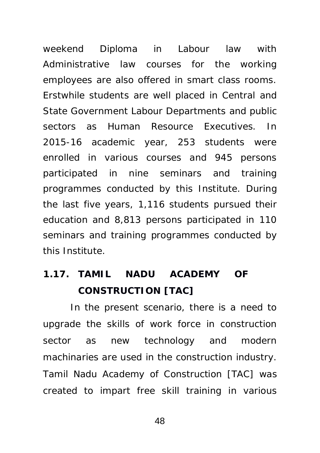weekend Diploma in Labour law with Administrative law courses for the working employees are also offered in smart class rooms. Erstwhile students are well placed in Central and State Government Labour Departments and public sectors as Human Resource Executives. In 2015-16 academic year, 253 students were enrolled in various courses and 945 persons participated in nine seminars and training programmes conducted by this Institute. During the last five years, 1,116 students pursued their education and 8,813 persons participated in 110 seminars and training programmes conducted by this Institute.

## **1.17. TAMIL NADU ACADEMY OF CONSTRUCTION [TAC]**

In the present scenario, there is a need to upgrade the skills of work force in construction sector as new technology and modern machinaries are used in the construction industry. Tamil Nadu Academy of Construction [TAC] was created to impart free skill training in various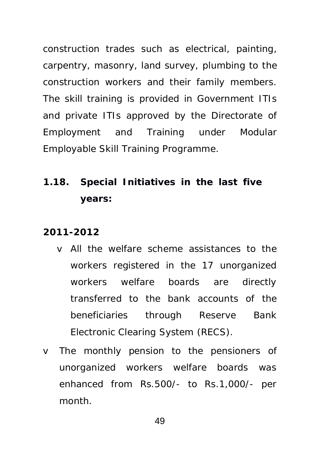construction trades such as electrical, painting, carpentry, masonry, land survey, plumbing to the construction workers and their family members. The skill training is provided in Government ITIs and private ITIs approved by the Directorate of Employment and Training under Modular Employable Skill Training Programme.

# **1.18. Special Initiatives in the last five years:**

#### **2011-2012**

- v All the welfare scheme assistances to the workers registered in the 17 unorganized workers welfare boards are directly transferred to the bank accounts of the beneficiaries through Reserve Bank Electronic Clearing System (RECS).
- v The monthly pension to the pensioners of unorganized workers welfare boards was enhanced from Rs.500/- to Rs.1,000/- per month.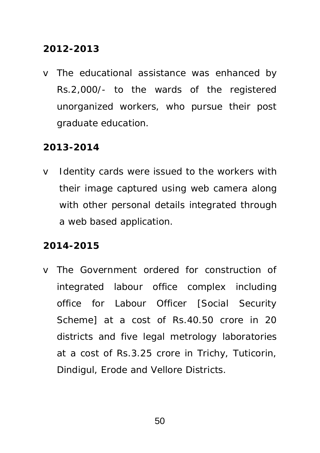### **2012-2013**

v The educational assistance was enhanced by Rs.2,000/- to the wards of the registered unorganized workers, who pursue their post graduate education.

### **2013-2014**

v Identity cards were issued to the workers with their image captured using web camera along with other personal details integrated through a web based application.

### **2014-2015**

v The Government ordered for construction of integrated labour office complex including office for Labour Officer [Social Security Scheme] at a cost of Rs.40.50 crore in 20 districts and five legal metrology laboratories at a cost of Rs.3.25 crore in Trichy, Tuticorin, Dindigul, Erode and Vellore Districts.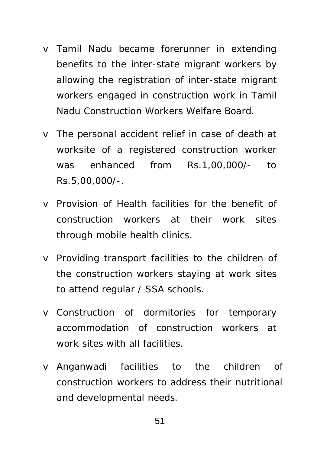- v Tamil Nadu became forerunner in extending benefits to the inter-state migrant workers by allowing the registration of inter-state migrant workers engaged in construction work in Tamil Nadu Construction Workers Welfare Board.
- v The personal accident relief in case of death at worksite of a registered construction worker was enhanced from Rs.1,00,000/- to Rs.5,00,000/-.
- v Provision of Health facilities for the benefit of construction workers at their work sites through mobile health clinics.
- v Providing transport facilities to the children of the construction workers staying at work sites to attend regular / SSA schools.
- v Construction of dormitories for temporary accommodation of construction workers at work sites with all facilities.
- v Anganwadi facilities to the children of construction workers to address their nutritional and developmental needs.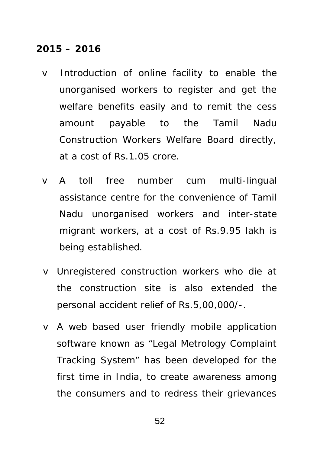### **2015 – 2016**

- v Introduction of online facility to enable the unorganised workers to register and get the welfare benefits easily and to remit the cess amount payable to the Tamil Nadu Construction Workers Welfare Board directly, at a cost of Rs.1.05 crore.
- v A toll free number cum multi-lingual assistance centre for the convenience of Tamil Nadu unorganised workers and inter-state migrant workers, at a cost of Rs.9.95 lakh is being established.
- v Unregistered construction workers who die at the construction site is also extended the personal accident relief of Rs.5,00,000/-.
- v A web based user friendly mobile application software known as "Legal Metrology Complaint Tracking System" has been developed for the first time in India, to create awareness among the consumers and to redress their grievances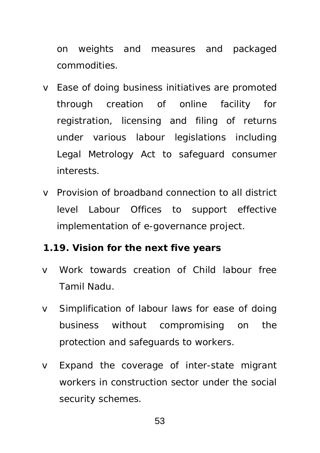on weights and measures and packaged commodities.

- v Ease of doing business initiatives are promoted through creation of online facility for registration, licensing and filing of returns under various labour legislations including Legal Metrology Act to safeguard consumer interests.
- v Provision of broadband connection to all district level Labour Offices to support effective implementation of e-governance project.

### **1.19. Vision for the next five years**

- v Work towards creation of Child labour free Tamil Nadu.
- v Simplification of labour laws for ease of doing business without compromising on the protection and safeguards to workers.
- v Expand the coverage of inter-state migrant workers in construction sector under the social security schemes.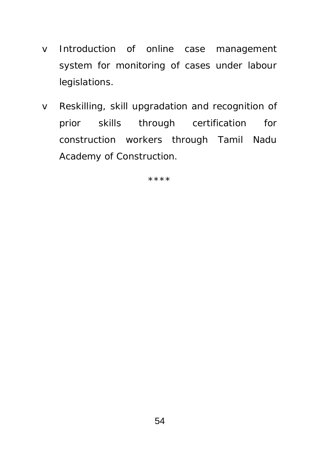- v Introduction of online case management system for monitoring of cases under labour legislations.
- v Reskilling, skill upgradation and recognition of prior skills through certification for construction workers through Tamil Nadu Academy of Construction.

\*\*\*\*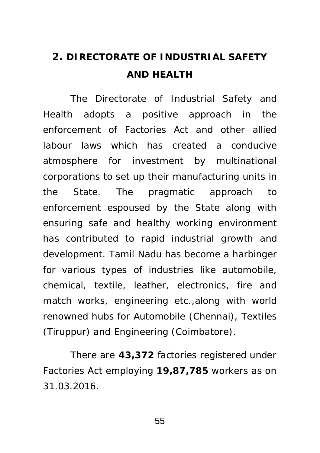# **2. DIRECTORATE OF INDUSTRIAL SAFETY AND HEALTH**

The Directorate of Industrial Safety and Health adopts a positive approach in the enforcement of Factories Act and other allied labour laws which has created a conducive atmosphere for investment by multinational corporations to set up their manufacturing units in the State. The pragmatic approach to enforcement espoused by the State along with ensuring safe and healthy working environment has contributed to rapid industrial growth and development. Tamil Nadu has become a harbinger for various types of industries like automobile, chemical, textile, leather, electronics, fire and match works, engineering etc.,along with world renowned hubs for Automobile (Chennai), Textiles (Tiruppur) and Engineering (Coimbatore).

There are **43,372** factories registered under Factories Act employing **19,87,785** workers as on 31.03.2016.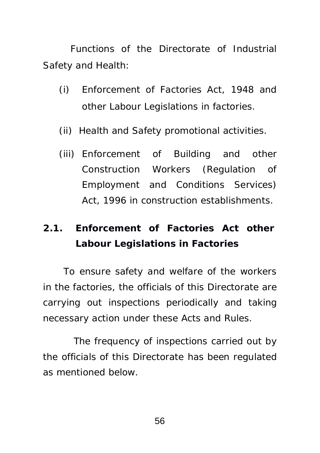Functions of the Directorate of Industrial Safety and Health:

- (i) Enforcement of Factories Act, 1948 and other Labour Legislations in factories.
- (ii) Health and Safety promotional activities.
- (iii) Enforcement of Building and other Construction Workers (Regulation of Employment and Conditions Services) Act, 1996 in construction establishments.

## **2.1. Enforcement of Factories Act other Labour Legislations in Factories**

To ensure safety and welfare of the workers in the factories, the officials of this Directorate are carrying out inspections periodically and taking necessary action under these Acts and Rules.

 The frequency of inspections carried out by the officials of this Directorate has been regulated as mentioned below.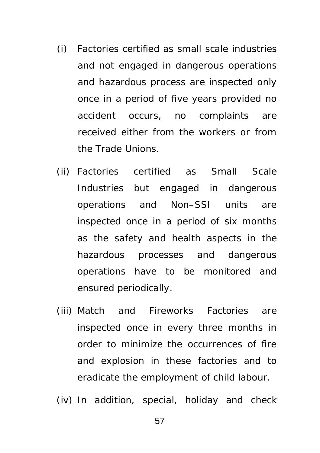- (i) Factories certified as small scale industries and not engaged in dangerous operations and hazardous process are inspected only once in a period of five years provided no accident occurs, no complaints are received either from the workers or from the Trade Unions.
- (ii) Factories certified as Small Scale Industries but engaged in dangerous operations and Non–SSI units are inspected once in a period of six months as the safety and health aspects in the hazardous processes and dangerous operations have to be monitored and ensured periodically.
- (iii) Match and Fireworks Factories are inspected once in every three months in order to minimize the occurrences of fire and explosion in these factories and to eradicate the employment of child labour.
- (iv) In addition, special, holiday and check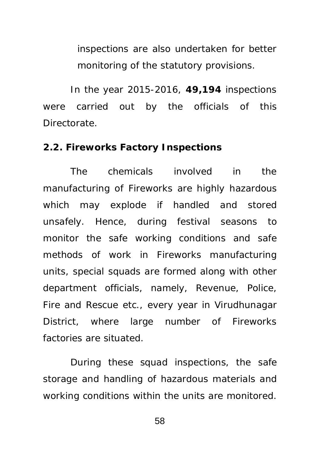inspections are also undertaken for better monitoring of the statutory provisions.

In the year 2015-2016, **49,194** inspections were carried out by the officials of this Directorate.

#### **2.2. Fireworks Factory Inspections**

The chemicals involved in the manufacturing of Fireworks are highly hazardous which may explode if handled and stored unsafely. Hence, during festival seasons to monitor the safe working conditions and safe methods of work in Fireworks manufacturing units, special squads are formed along with other department officials, namely, Revenue, Police, Fire and Rescue etc., every year in Virudhunagar District, where large number of Fireworks factories are situated.

During these squad inspections, the safe storage and handling of hazardous materials and working conditions within the units are monitored.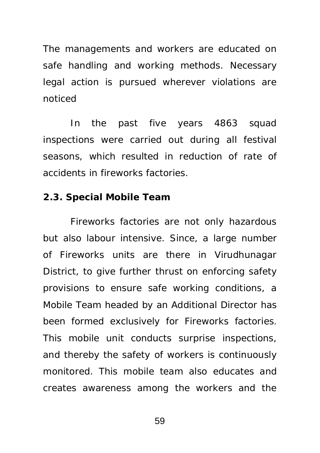The managements and workers are educated on safe handling and working methods. Necessary legal action is pursued wherever violations are noticed

In the past five years 4863 squad inspections were carried out during all festival seasons, which resulted in reduction of rate of accidents in fireworks factories.

### **2.3. Special Mobile Team**

Fireworks factories are not only hazardous but also labour intensive. Since, a large number of Fireworks units are there in Virudhunagar District, to give further thrust on enforcing safety provisions to ensure safe working conditions, a Mobile Team headed by an Additional Director has been formed exclusively for Fireworks factories. This mobile unit conducts surprise inspections, and thereby the safety of workers is continuously monitored. This mobile team also educates and creates awareness among the workers and the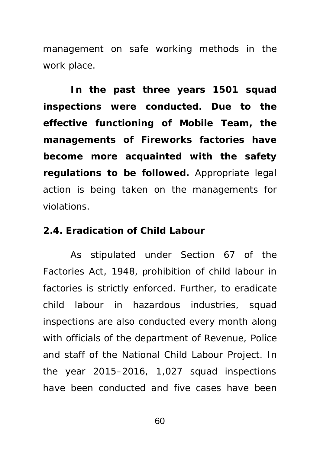management on safe working methods in the work place.

**In the past three years 1501 squad inspections were conducted. Due to the effective functioning of Mobile Team, the managements of Fireworks factories have become more acquainted with the safety regulations to be followed.** Appropriate legal action is being taken on the managements for violations.

### **2.4. Eradication of Child Labour**

As stipulated under Section 67 of the Factories Act, 1948, prohibition of child labour in factories is strictly enforced. Further, to eradicate child labour in hazardous industries, squad inspections are also conducted every month along with officials of the department of Revenue, Police and staff of the National Child Labour Project. In the year 2015–2016, 1,027 squad inspections have been conducted and five cases have been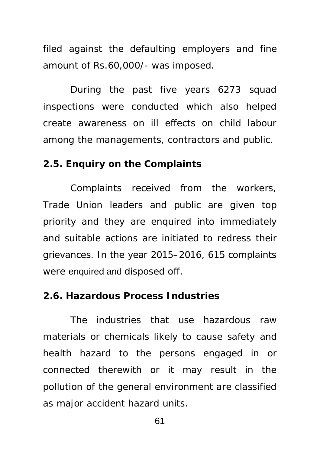filed against the defaulting employers and fine amount of Rs.60,000/- was imposed.

During the past five years 6273 squad inspections were conducted which also helped create awareness on ill effects on child labour among the managements, contractors and public.

### **2.5. Enquiry on the Complaints**

Complaints received from the workers, Trade Union leaders and public are given top priority and they are enquired into immediately and suitable actions are initiated to redress their grievances. In the year 2015–2016, 615 complaints were enquired and disposed off.

#### **2.6. Hazardous Process Industries**

The industries that use hazardous raw materials or chemicals likely to cause safety and health hazard to the persons engaged in or connected therewith or it may result in the pollution of the general environment are classified as major accident hazard units.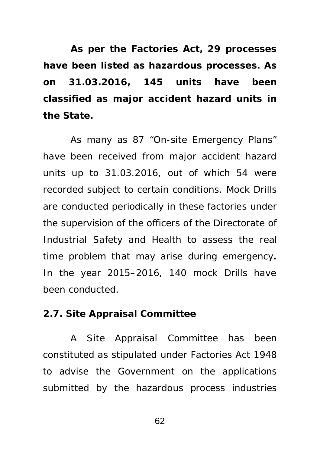**As per the Factories Act, 29 processes have been listed as hazardous processes. As on 31.03.2016, 145 units have been classified as major accident hazard units in the State.** 

As many as 87 "On-site Emergency Plans" have been received from major accident hazard units up to 31.03.2016, out of which 54 were recorded subject to certain conditions. Mock Drills are conducted periodically in these factories under the supervision of the officers of the Directorate of Industrial Safety and Health to assess the real time problem that may arise during emergency**.**  In the year 2015–2016, 140 mock Drills have been conducted.

### **2.7. Site Appraisal Committee**

A Site Appraisal Committee has been constituted as stipulated under Factories Act 1948 to advise the Government on the applications submitted by the hazardous process industries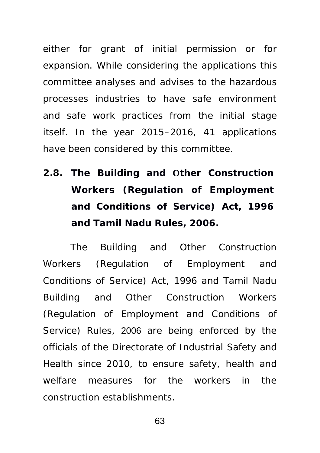either for grant of initial permission or for expansion. While considering the applications this committee analyses and advises to the hazardous processes industries to have safe environment and safe work practices from the initial stage itself. In the year 2015–2016, 41 applications have been considered by this committee.

**2.8. The Building and Other Construction Workers (Regulation of Employment and Conditions of Service) Act, 1996 and Tamil Nadu Rules, 2006.**

The Building and Other Construction Workers (Regulation of Employment and Conditions of Service) Act, 1996 and Tamil Nadu Building and Other Construction Workers (Regulation of Employment and Conditions of Service) Rules, 2006 are being enforced by the officials of the Directorate of Industrial Safety and Health since 2010, to ensure safety, health and welfare measures for the workers in the construction establishments.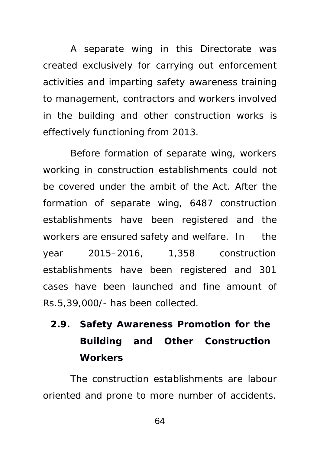A separate wing in this Directorate was created exclusively for carrying out enforcement activities and imparting safety awareness training to management, contractors and workers involved in the building and other construction works is effectively functioning from 2013.

Before formation of separate wing, workers working in construction establishments could not be covered under the ambit of the Act. After the formation of separate wing, 6487 construction establishments have been registered and the workers are ensured safety and welfare. In the year 2015–2016, 1,358 construction establishments have been registered and 301 cases have been launched and fine amount of Rs.5,39,000/- has been collected.

# **2.9. Safety Awareness Promotion for the Building and Other Construction Workers**

The construction establishments are labour oriented and prone to more number of accidents.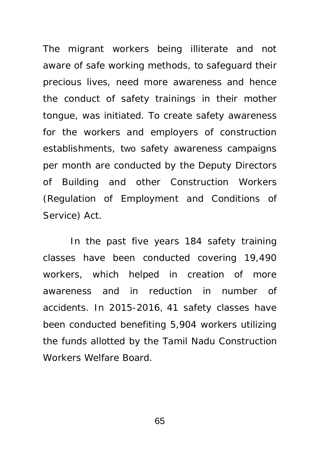The migrant workers being illiterate and not aware of safe working methods, to safeguard their precious lives, need more awareness and hence the conduct of safety trainings in their mother tongue, was initiated. To create safety awareness for the workers and employers of construction establishments, two safety awareness campaigns per month are conducted by the Deputy Directors of Building and other Construction Workers (Regulation of Employment and Conditions of Service) Act.

In the past five years 184 safety training classes have been conducted covering 19,490 workers, which helped in creation of more awareness and in reduction in number of accidents. In 2015-2016, 41 safety classes have been conducted benefiting 5,904 workers utilizing the funds allotted by the Tamil Nadu Construction Workers Welfare Board.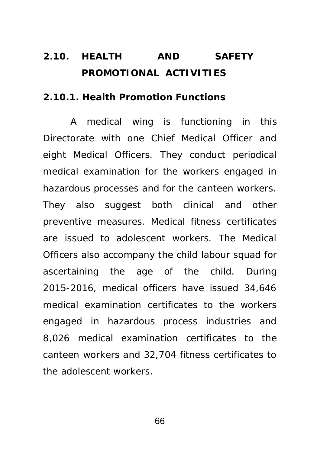## **2.10. HEALTH AND SAFETY PROMOTIONAL ACTIVITIES**

#### **2.10.1. Health Promotion Functions**

A medical wing is functioning in this Directorate with one Chief Medical Officer and eight Medical Officers. They conduct periodical medical examination for the workers engaged in hazardous processes and for the canteen workers. They also suggest both clinical and other preventive measures. Medical fitness certificates are issued to adolescent workers. The Medical Officers also accompany the child labour squad for ascertaining the age of the child. During 2015-2016, medical officers have issued 34,646 medical examination certificates to the workers engaged in hazardous process industries and 8,026 medical examination certificates to the canteen workers and 32,704 fitness certificates to the adolescent workers.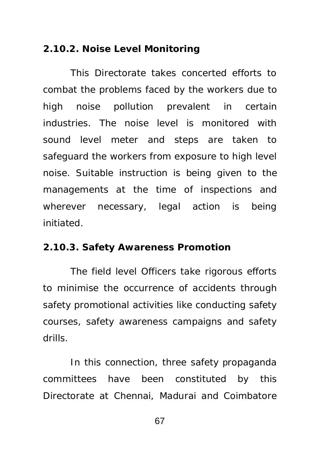#### **2.10.2. Noise Level Monitoring**

This Directorate takes concerted efforts to combat the problems faced by the workers due to high noise pollution prevalent in certain industries. The noise level is monitored with sound level meter and steps are taken to safeguard the workers from exposure to high level noise. Suitable instruction is being given to the managements at the time of inspections and wherever necessary, legal action is being initiated.

#### **2.10.3. Safety Awareness Promotion**

The field level Officers take rigorous efforts to minimise the occurrence of accidents through safety promotional activities like conducting safety courses, safety awareness campaigns and safety drills.

In this connection, three safety propaganda committees have been constituted by this Directorate at Chennai, Madurai and Coimbatore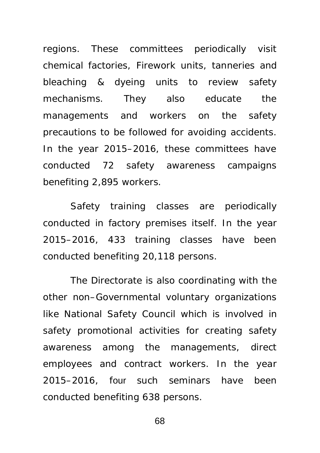regions. These committees periodically visit chemical factories, Firework units, tanneries and bleaching & dyeing units to review safety mechanisms. They also educate the managements and workers on the safety precautions to be followed for avoiding accidents. In the year 2015–2016, these committees have conducted 72 safety awareness campaigns benefiting 2,895 workers.

Safety training classes are periodically conducted in factory premises itself. In the year 2015–2016, 433 training classes have been conducted benefiting 20,118 persons.

The Directorate is also coordinating with the other non–Governmental voluntary organizations like National Safety Council which is involved in safety promotional activities for creating safety awareness among the managements, direct employees and contract workers. In the year 2015–2016, four such seminars have been conducted benefiting 638 persons.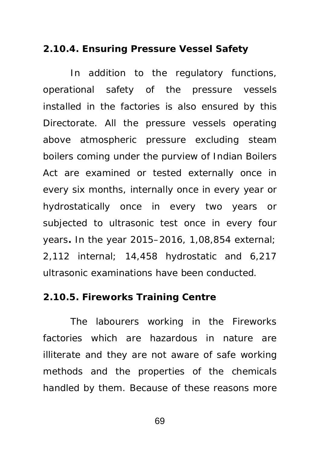#### **2.10.4. Ensuring Pressure Vessel Safety**

In addition to the regulatory functions, operational safety of the pressure vessels installed in the factories is also ensured by this Directorate. All the pressure vessels operating above atmospheric pressure excluding steam boilers coming under the purview of Indian Boilers Act are examined or tested externally once in every six months, internally once in every year or hydrostatically once in every two years or subjected to ultrasonic test once in every four years**.** In the year 2015–2016, 1,08,854 external; 2,112 internal; 14,458 hydrostatic and 6,217 ultrasonic examinations have been conducted.

#### **2.10.5. Fireworks Training Centre**

The labourers working in the Fireworks factories which are hazardous in nature are illiterate and they are not aware of safe working methods and the properties of the chemicals handled by them. Because of these reasons more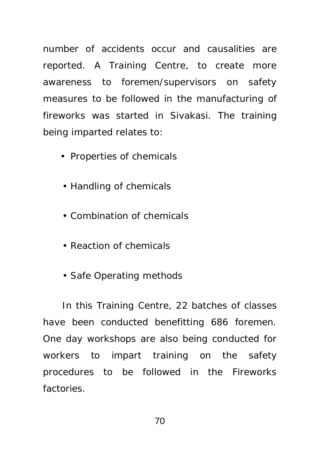number of accidents occur and causalities are reported. A Training Centre, to create more awareness to foremen/supervisors on safety measures to be followed in the manufacturing of fireworks was started in Sivakasi. The training being imparted relates to:

- Properties of chemicals
- Handling of chemicals
- Combination of chemicals
- Reaction of chemicals
- Safe Operating methods

In this Training Centre, 22 batches of classes have been conducted benefitting 686 foremen. One day workshops are also being conducted for workers to impart training on the safety procedures to be followed in the Fireworks factories.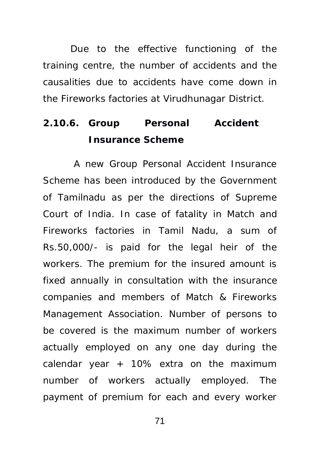Due to the effective functioning of the training centre, the number of accidents and the causalities due to accidents have come down in the Fireworks factories at Virudhunagar District.

## **2.10.6. Group Personal Accident Insurance Scheme**

 A new Group Personal Accident Insurance Scheme has been introduced by the Government of Tamilnadu as per the directions of Supreme Court of India. In case of fatality in Match and Fireworks factories in Tamil Nadu, a sum of Rs.50,000/- is paid for the legal heir of the workers. The premium for the insured amount is fixed annually in consultation with the insurance companies and members of Match & Fireworks Management Association. Number of persons to be covered is the maximum number of workers actually employed on any one day during the calendar year  $+$  10% extra on the maximum number of workers actually employed. The payment of premium for each and every worker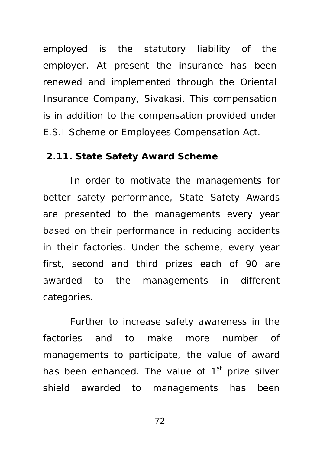employed is the statutory liability of the employer. At present the insurance has been renewed and implemented through the Oriental Insurance Company, Sivakasi. This compensation is in addition to the compensation provided under E.S.I Scheme or Employees Compensation Act.

#### **2.11. State Safety Award Scheme**

In order to motivate the managements for better safety performance, State Safety Awards are presented to the managements every year based on their performance in reducing accidents in their factories. Under the scheme, every year first, second and third prizes each of 90 are awarded to the managements in different categories.

Further to increase safety awareness in the factories and to make more number of managements to participate, the value of award has been enhanced. The value of  $1<sup>st</sup>$  prize silver shield awarded to managements has been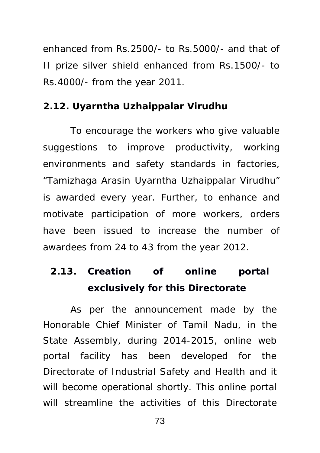enhanced from Rs.2500/- to Rs.5000/- and that of II prize silver shield enhanced from Rs.1500/- to Rs.4000/- from the year 2011.

#### **2.12. Uyarntha Uzhaippalar Virudhu**

To encourage the workers who give valuable suggestions to improve productivity, working environments and safety standards in factories, "Tamizhaga Arasin Uyarntha Uzhaippalar Virudhu" is awarded every year. Further, to enhance and motivate participation of more workers, orders have been issued to increase the number of awardees from 24 to 43 from the year 2012.

## **2.13. Creation of online portal exclusively for this Directorate**

As per the announcement made by the Honorable Chief Minister of Tamil Nadu, in the State Assembly, during 2014-2015, online web portal facility has been developed for the Directorate of Industrial Safety and Health and it will become operational shortly. This online portal will streamline the activities of this Directorate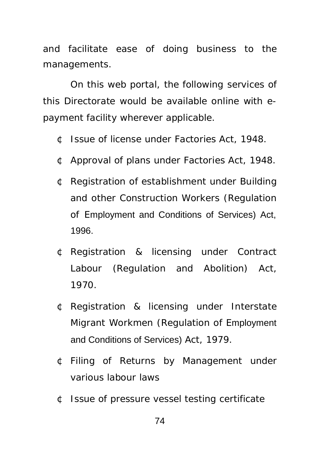and facilitate ease of doing business to the managements.

On this web portal, the following services of this Directorate would be available online with epayment facility wherever applicable.

- ¢ Issue of license under Factories Act, 1948.
- ¢ Approval of plans under Factories Act, 1948.
- ¢ Registration of establishment under Building and other Construction Workers (Regulation of Employment and Conditions of Services) Act, 1996.
- ¢ Registration & licensing under Contract Labour (Regulation and Abolition) Act, 1970.
- ¢ Registration & licensing under Interstate Migrant Workmen (Regulation of Employment and Conditions of Services) Act, 1979.
- ¢ Filing of Returns by Management under various labour laws
- ¢ Issue of pressure vessel testing certificate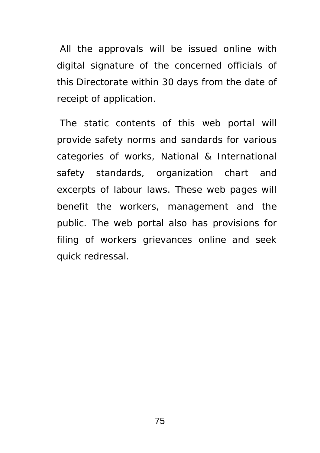All the approvals will be issued online with digital signature of the concerned officials of this Directorate within 30 days from the date of receipt of application.

 The static contents of this web portal will provide safety norms and sandards for various categories of works, National & International safety standards, organization chart and excerpts of labour laws. These web pages will benefit the workers, management and the public. The web portal also has provisions for filing of workers grievances online and seek quick redressal.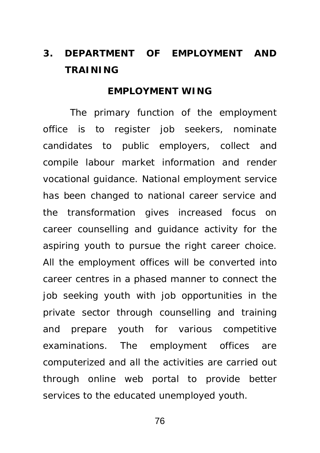## **3. DEPARTMENT OF EMPLOYMENT AND TRAINING**

#### **EMPLOYMENT WING**

The primary function of the employment office is to register job seekers, nominate candidates to public employers, collect and compile labour market information and render vocational guidance. National employment service has been changed to national career service and the transformation gives increased focus on career counselling and guidance activity for the aspiring youth to pursue the right career choice. All the employment offices will be converted into career centres in a phased manner to connect the job seeking youth with job opportunities in the private sector through counselling and training and prepare youth for various competitive examinations. The employment offices are computerized and all the activities are carried out through online web portal to provide better services to the educated unemployed youth.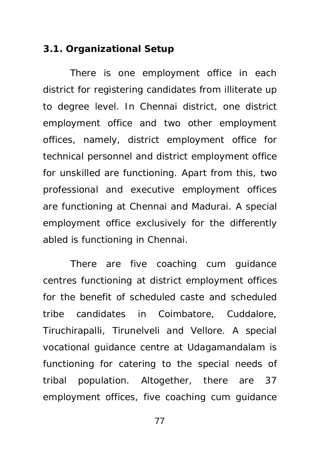#### **3.1. Organizational Setup**

There is one employment office in each district for registering candidates from illiterate up to degree level. In Chennai district, one district employment office and two other employment offices, namely, district employment office for technical personnel and district employment office for unskilled are functioning. Apart from this, two professional and executive employment offices are functioning at Chennai and Madurai. A special employment office exclusively for the differently abled is functioning in Chennai.

There are five coaching cum guidance centres functioning at district employment offices for the benefit of scheduled caste and scheduled tribe candidates in Coimbatore, Cuddalore, Tiruchirapalli, Tirunelveli and Vellore. A special vocational guidance centre at Udagamandalam is functioning for catering to the special needs of tribal population. Altogether, there are 37 employment offices, five coaching cum guidance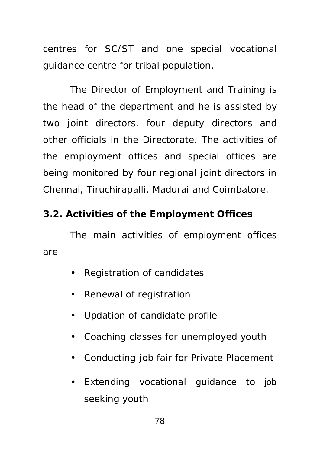centres for SC/ST and one special vocational guidance centre for tribal population.

The Director of Employment and Training is the head of the department and he is assisted by two joint directors, four deputy directors and other officials in the Directorate. The activities of the employment offices and special offices are being monitored by four regional joint directors in Chennai, Tiruchirapalli, Madurai and Coimbatore.

### **3.2. Activities of the Employment Offices**

The main activities of employment offices are

- Registration of candidates
- Renewal of registration
- Updation of candidate profile
- Coaching classes for unemployed youth
- Conducting job fair for Private Placement
- Extending vocational guidance to job seeking youth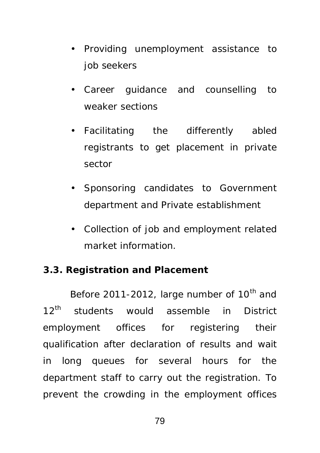- Providing unemployment assistance to job seekers
- Career guidance and counselling to weaker sections
- Facilitating the differently abled registrants to get placement in private sector
- Sponsoring candidates to Government department and Private establishment
- Collection of job and employment related market information.

### **3.3. Registration and Placement**

Before 2011-2012, large number of  $10<sup>th</sup>$  and 12<sup>th</sup> students would assemble in District employment offices for registering their qualification after declaration of results and wait in long queues for several hours for the department staff to carry out the registration. To prevent the crowding in the employment offices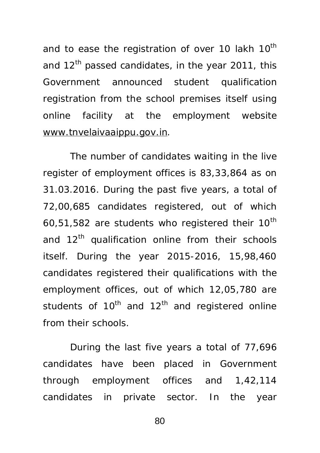and to ease the registration of over 10 lakh  $10<sup>th</sup>$ and 12<sup>th</sup> passed candidates, in the year 2011, this Government announced student qualification registration from the school premises itself using online facility at the employment website *[www.tnvelaivaaippu.gov.in](http://www.tnvelaivaaippu.gov.in)*.

The number of candidates waiting in the live register of employment offices is 83,33,864 as on 31.03.2016. During the past five years, a total of 72,00,685 candidates registered, out of which 60,51,582 are students who registered their  $10^{th}$ and  $12<sup>th</sup>$  qualification online from their schools itself. During the year 2015-2016, 15,98,460 candidates registered their qualifications with the employment offices, out of which 12,05,780 are students of  $10^{th}$  and  $12^{th}$  and registered online from their schools.

During the last five years a total of 77,696 candidates have been placed in Government through employment offices and 1,42,114 candidates in private sector. In the year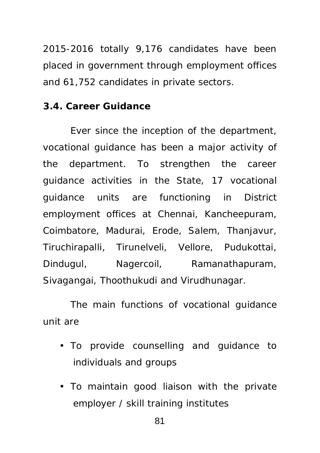2015-2016 totally 9,176 candidates have been placed in government through employment offices and 61,752 candidates in private sectors.

#### **3.4. Career Guidance**

Ever since the inception of the department, vocational guidance has been a major activity of the department. To strengthen the career guidance activities in the State, 17 vocational guidance units are functioning in District employment offices at Chennai, Kancheepuram, Coimbatore, Madurai, Erode, Salem, Thanjavur, Tiruchirapalli, Tirunelveli, Vellore, Pudukottai, Dindugul, Nagercoil, Ramanathapuram, Sivagangai, Thoothukudi and Virudhunagar.

The main functions of vocational guidance unit are

- To provide counselling and guidance to individuals and groups
- To maintain good liaison with the private employer / skill training institutes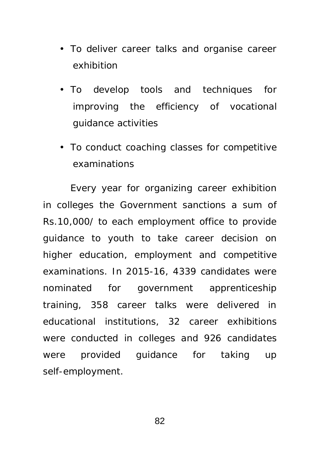- To deliver career talks and organise career exhibition
- To develop tools and techniques for improving the efficiency of vocational guidance activities
- To conduct coaching classes for competitive examinations

Every year for organizing career exhibition in colleges the Government sanctions a sum of Rs.10,000/ to each employment office to provide guidance to youth to take career decision on higher education, employment and competitive examinations. In 2015-16, 4339 candidates were nominated for government apprenticeship training, 358 career talks were delivered in educational institutions, 32 career exhibitions were conducted in colleges and 926 candidates were provided guidance for taking up self-employment.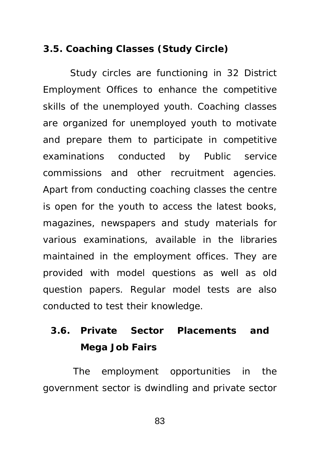#### **3.5. Coaching Classes (Study Circle)**

Study circles are functioning in 32 District Employment Offices to enhance the competitive skills of the unemployed youth. Coaching classes are organized for unemployed youth to motivate and prepare them to participate in competitive examinations conducted by Public service commissions and other recruitment agencies. Apart from conducting coaching classes the centre is open for the youth to access the latest books, magazines, newspapers and study materials for various examinations, available in the libraries maintained in the employment offices. They are provided with model questions as well as old question papers. Regular model tests are also conducted to test their knowledge.

### **3.6. Private Sector Placements and Mega Job Fairs**

 The employment opportunities in the government sector is dwindling and private sector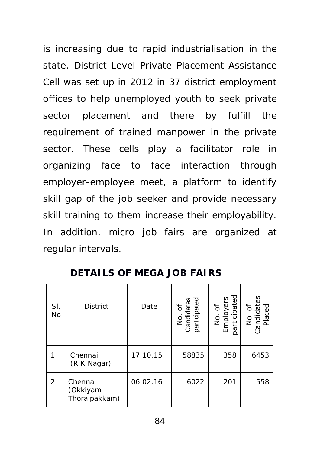is increasing due to rapid industrialisation in the state. District Level Private Placement Assistance Cell was set up in 2012 in 37 district employment offices to help unemployed youth to seek private sector placement and there by fulfill the requirement of trained manpower in the private sector. These cells play a facilitator role in organizing face to face interaction through employer-employee meet, a platform to identify skill gap of the job seeker and provide necessary skill training to them increase their employability. In addition, micro job fairs are organized at regular intervals.

| SI.<br>No      | <b>District</b>                      | Date     | No. of<br>Candidates<br>participated | No. of<br>Employers<br>participated | No. of<br>Candidates<br>Placed |
|----------------|--------------------------------------|----------|--------------------------------------|-------------------------------------|--------------------------------|
|                | Chennai<br>(R.K Nagar)               | 17.10.15 | 58835                                | 358                                 | 6453                           |
| $\overline{2}$ | Chennai<br>(Okkiyam<br>Thoraipakkam) | 06.02.16 | 6022                                 | 201                                 | 558                            |

**DETAILS OF MEGA JOB FAIRS**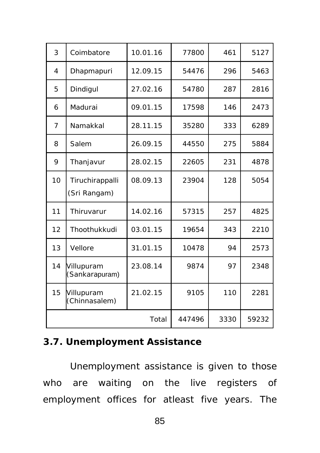| 3              | Coimbatore                      | 10.01.16 | 77800 | 461   | 5127 |
|----------------|---------------------------------|----------|-------|-------|------|
| 4              | Dhapmapuri                      | 12.09.15 | 54476 | 296   | 5463 |
| 5              | Dindigul                        | 27.02.16 | 54780 | 287   | 2816 |
| 6              | Madurai                         | 09.01.15 | 17598 | 146   | 2473 |
| $\overline{7}$ | Namakkal                        | 28.11.15 | 35280 | 333   | 6289 |
| 8              | Salem                           | 26.09.15 | 44550 | 275   | 5884 |
| 9              | Thanjavur                       | 28.02.15 | 22605 | 231   | 4878 |
| 10             | Tiruchirappalli<br>(Sri Rangam) | 08.09.13 | 23904 | 128   | 5054 |
| 11             | <b>Thiruvarur</b>               | 14.02.16 | 57315 | 257   | 4825 |
| 12             | Thoothukkudi                    | 03.01.15 | 19654 | 343   | 2210 |
| 13             | Vellore                         | 31.01.15 | 10478 | 94    | 2573 |
| 14             | Villupuram<br>(Sankarapuram)    | 23.08.14 | 9874  | 97    | 2348 |
| 15             | Villupuram<br>(Chinnasalem)     | 21.02.15 | 9105  | 110   | 2281 |
|                |                                 | 447496   | 3330  | 59232 |      |

### **3.7. Unemployment Assistance**

Unemployment assistance is given to those who are waiting on the live registers of employment offices for atleast five years. The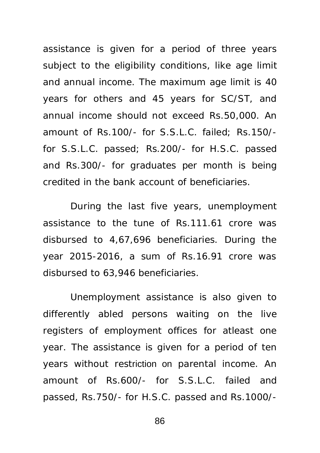assistance is given for a period of three years subject to the eligibility conditions, like age limit and annual income. The maximum age limit is 40 years for others and 45 years for SC/ST, and annual income should not exceed Rs.50,000. An amount of Rs.100/- for S.S.L.C. failed; Rs.150/ for S.S.L.C. passed; Rs.200/- for H.S.C. passed and Rs.300/- for graduates per month is being credited in the bank account of beneficiaries.

During the last five years, unemployment assistance to the tune of Rs.111.61 crore was disbursed to 4,67,696 beneficiaries. During the year 2015-2016, a sum of Rs.16.91 crore was disbursed to 63,946 beneficiaries.

Unemployment assistance is also given to differently abled persons waiting on the live registers of employment offices for atleast one year. The assistance is given for a period of ten years without restriction on parental income. An amount of Rs.600/- for S.S.L.C. failed and passed, Rs.750/- for H.S.C. passed and Rs.1000/-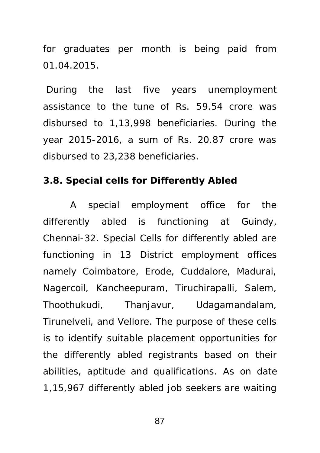for graduates per month is being paid from 01.04.2015.

 During the last five years unemployment assistance to the tune of Rs. 59.54 crore was disbursed to 1,13,998 beneficiaries. During the year 2015-2016, a sum of Rs. 20.87 crore was disbursed to 23,238 beneficiaries.

#### **3.8. Special cells for Differently Abled**

A special employment office for the differently abled is functioning at Guindy, Chennai-32. Special Cells for differently abled are functioning in 13 District employment offices namely Coimbatore, Erode, Cuddalore, Madurai, Nagercoil, Kancheepuram, Tiruchirapalli, Salem, Thoothukudi, Thanjavur, Udagamandalam, Tirunelveli, and Vellore. The purpose of these cells is to identify suitable placement opportunities for the differently abled registrants based on their abilities, aptitude and qualifications. As on date 1,15,967 differently abled job seekers are waiting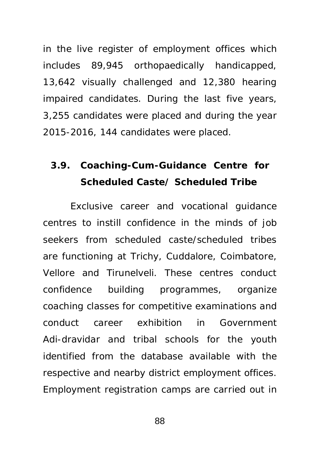in the live register of employment offices which includes 89,945 orthopaedically handicapped, 13,642 visually challenged and 12,380 hearing impaired candidates. During the last five years, 3,255 candidates were placed and during the year 2015-2016, 144 candidates were placed.

### **3.9. Coaching-Cum-Guidance Centre for Scheduled Caste/ Scheduled Tribe**

Exclusive career and vocational guidance centres to instill confidence in the minds of job seekers from scheduled caste/scheduled tribes are functioning at Trichy, Cuddalore, Coimbatore, Vellore and Tirunelveli. These centres conduct confidence building programmes, organize coaching classes for competitive examinations and conduct career exhibition in Government Adi-dravidar and tribal schools for the youth identified from the database available with the respective and nearby district employment offices. Employment registration camps are carried out in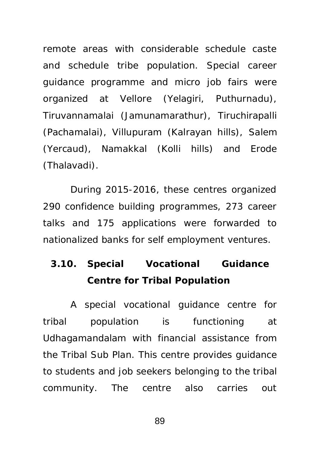remote areas with considerable schedule caste and schedule tribe population. Special career guidance programme and micro job fairs were organized at Vellore (Yelagiri, Puthurnadu), Tiruvannamalai (Jamunamarathur), Tiruchirapalli (Pachamalai), Villupuram (Kalrayan hills), Salem (Yercaud), Namakkal (Kolli hills) and Erode (Thalavadi).

During 2015-2016, these centres organized 290 confidence building programmes, 273 career talks and 175 applications were forwarded to nationalized banks for self employment ventures.

**3.10. Special Vocational Guidance Centre for Tribal Population**

A special vocational guidance centre for tribal population is functioning at Udhagamandalam with financial assistance from the Tribal Sub Plan. This centre provides guidance to students and job seekers belonging to the tribal community. The centre also carries out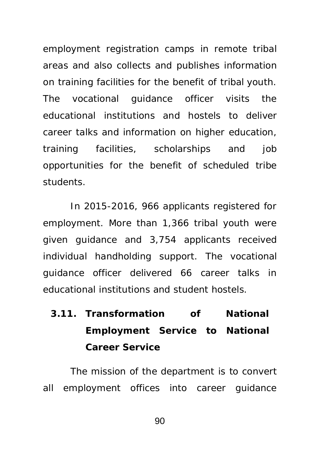employment registration camps in remote tribal areas and also collects and publishes information on training facilities for the benefit of tribal youth. The vocational guidance officer visits the educational institutions and hostels to deliver career talks and information on higher education, training facilities, scholarships and job opportunities for the benefit of scheduled tribe students.

In 2015-2016, 966 applicants registered for employment. More than 1,366 tribal youth were given guidance and 3,754 applicants received individual handholding support. The vocational guidance officer delivered 66 career talks in educational institutions and student hostels.

**3.11. Transformation of National Employment Service to National Career Service** 

The mission of the department is to convert all employment offices into career guidance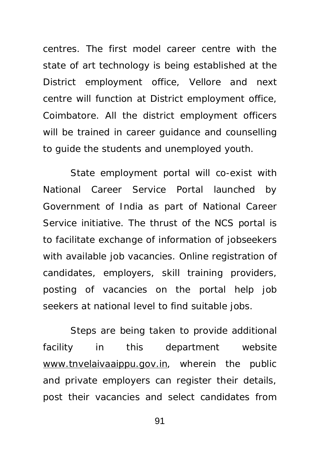centres. The first model career centre with the state of art technology is being established at the District employment office, Vellore and next centre will function at District employment office, Coimbatore. All the district employment officers will be trained in career guidance and counselling to guide the students and unemployed youth.

State employment portal will co-exist with National Career Service Portal launched by Government of India as part of National Career Service initiative. The thrust of the NCS portal is to facilitate exchange of information of jobseekers with available job vacancies. Online registration of candidates, employers, skill training providers, posting of vacancies on the portal help job seekers at national level to find suitable jobs.

Steps are being taken to provide additional facility in this department website [www.tnvelaivaaippu.gov.in,](http://www.tnvelaivaaippu.gov.in) wherein the public and private employers can register their details, post their vacancies and select candidates from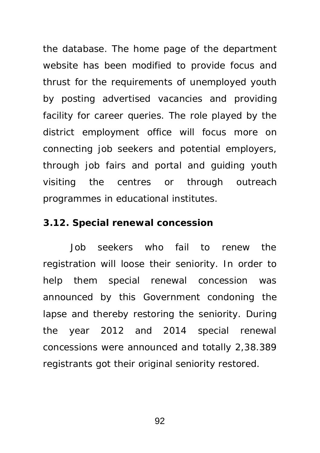the database. The home page of the department website has been modified to provide focus and thrust for the requirements of unemployed youth by posting advertised vacancies and providing facility for career queries. The role played by the district employment office will focus more on connecting job seekers and potential employers, through job fairs and portal and guiding youth visiting the centres or through outreach programmes in educational institutes.

#### **3.12. Special renewal concession**

Job seekers who fail to renew the registration will loose their seniority. In order to help them special renewal concession was announced by this Government condoning the lapse and thereby restoring the seniority. During the year 2012 and 2014 special renewal concessions were announced and totally 2,38.389 registrants got their original seniority restored.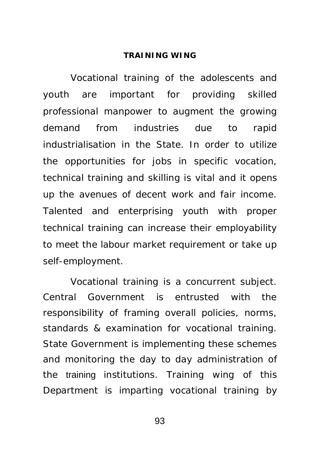#### **TRAINING WING**

Vocational training of the adolescents and youth are important for providing skilled professional manpower to augment the growing demand from industries due to rapid industrialisation in the State. In order to utilize the opportunities for jobs in specific vocation, technical training and skilling is vital and it opens up the avenues of decent work and fair income. Talented and enterprising youth with proper technical training can increase their employability to meet the labour market requirement or take up self-employment.

Vocational training is a concurrent subject. Central Government is entrusted with the responsibility of framing overall policies, norms, standards & examination for vocational training. State Government is implementing these schemes and monitoring the day to day administration of the training institutions. Training wing of this Department is imparting vocational training by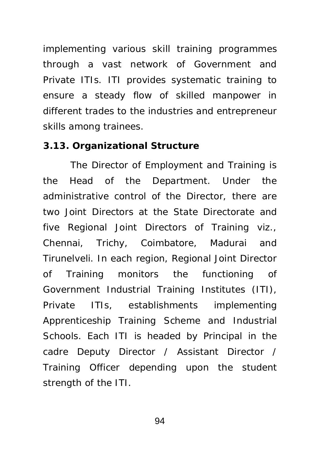implementing various skill training programmes through a vast network of Government and Private ITIs. ITI provides systematic training to ensure a steady flow of skilled manpower in different trades to the industries and entrepreneur skills among trainees.

#### **3.13. Organizational Structure**

The Director of Employment and Training is the Head of the Department. Under the administrative control of the Director, there are two Joint Directors at the State Directorate and five Regional Joint Directors of Training viz., Chennai, Trichy, Coimbatore, Madurai and Tirunelveli. In each region, Regional Joint Director of Training monitors the functioning of Government Industrial Training Institutes (ITI), Private ITIs, establishments implementing Apprenticeship Training Scheme and Industrial Schools. Each ITI is headed by Principal in the cadre Deputy Director / Assistant Director / Training Officer depending upon the student strength of the ITI.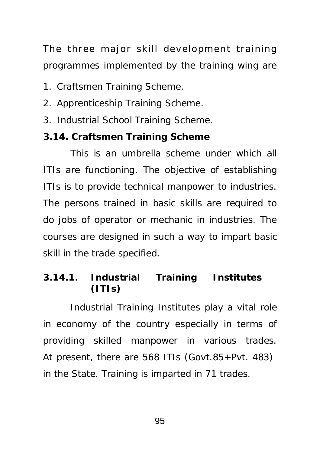The three major skill development training programmes implemented by the training wing are

- 1. Craftsmen Training Scheme.
- 2. Apprenticeship Training Scheme.
- 3. Industrial School Training Scheme.

#### **3.14. Craftsmen Training Scheme**

This is an umbrella scheme under which all ITIs are functioning. The objective of establishing ITIs is to provide technical manpower to industries. The persons trained in basic skills are required to do jobs of operator or mechanic in industries. The courses are designed in such a way to impart basic skill in the trade specified.

### **3.14.1. Industrial Training Institutes (ITIs)**

Industrial Training Institutes play a vital role in economy of the country especially in terms of providing skilled manpower in various trades. At present, there are 568 ITIs (Govt.85+Pvt. 483) in the State. Training is imparted in 71 trades.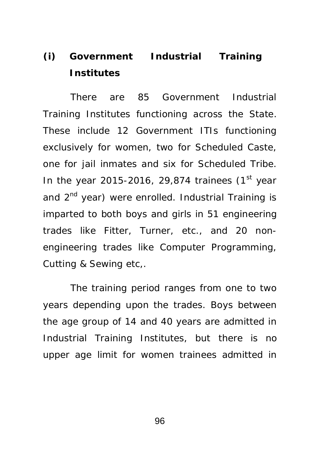# **(i) Government Industrial Training Institutes**

There are 85 Government Industrial Training Institutes functioning across the State. These include 12 Government ITIs functioning exclusively for women, two for Scheduled Caste, one for jail inmates and six for Scheduled Tribe. In the year 2015-2016, 29,874 trainees  $(1<sup>st</sup>$  year and 2<sup>nd</sup> year) were enrolled. Industrial Training is imparted to both boys and girls in 51 engineering trades like Fitter, Turner, etc., and 20 nonengineering trades like Computer Programming, Cutting & Sewing etc,.

The training period ranges from one to two years depending upon the trades. Boys between the age group of 14 and 40 years are admitted in Industrial Training Institutes, but there is no upper age limit for women trainees admitted in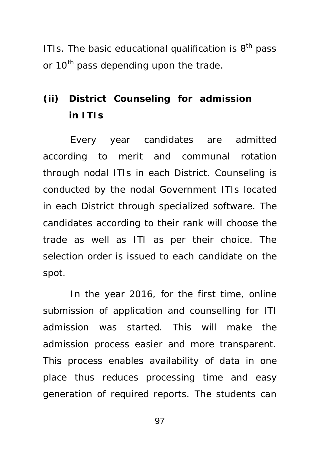ITIs. The basic educational qualification is  $8<sup>th</sup>$  pass or 10<sup>th</sup> pass depending upon the trade.

## **(ii) District Counseling for admission in ITIs**

Every year candidates are admitted according to merit and communal rotation through nodal ITIs in each District. Counseling is conducted by the nodal Government ITIs located in each District through specialized software. The candidates according to their rank will choose the trade as well as ITI as per their choice. The selection order is issued to each candidate on the spot.

In the year 2016, for the first time, online submission of application and counselling for ITI admission was started. This will make the admission process easier and more transparent. This process enables availability of data in one place thus reduces processing time and easy generation of required reports. The students can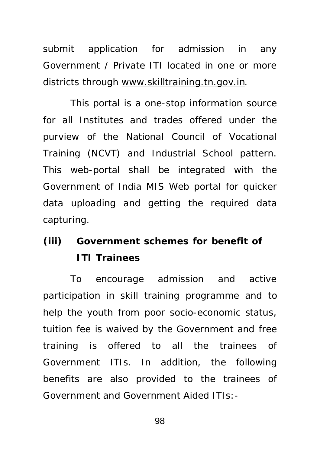submit application for admission in any Government / Private ITI located in one or more districts through [www.skilltraining.tn.gov.in](http://www.skilltraining.tn.gov.in).

This portal is a one-stop information source for all Institutes and trades offered under the purview of the National Council of Vocational Training (NCVT) and Industrial School pattern. This web-portal shall be integrated with the Government of India MIS Web portal for quicker data uploading and getting the required data capturing.

# **(iii) Government schemes for benefit of ITI Trainees**

To encourage admission and active participation in skill training programme and to help the youth from poor socio-economic status, tuition fee is waived by the Government and free training is offered to all the trainees of Government ITIs. In addition, the following benefits are also provided to the trainees of Government and Government Aided ITIs:-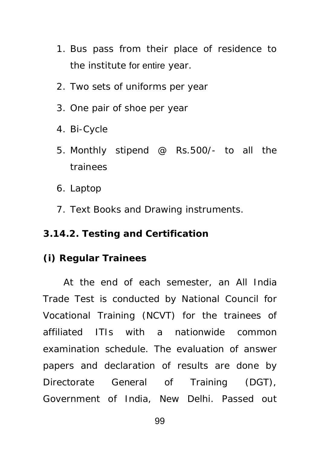- 1. Bus pass from their place of residence to the institute for entire year.
- 2. Two sets of uniforms per year
- 3. One pair of shoe per year
- 4. Bi-Cycle
- 5. Monthly stipend @ Rs.500/- to all the trainees
- 6. Laptop
- 7. Text Books and Drawing instruments.

#### **3.14.2. Testing and Certification**

#### **(i) Regular Trainees**

At the end of each semester, an All India Trade Test is conducted by National Council for Vocational Training (NCVT) for the trainees of affiliated ITIs with a nationwide common examination schedule. The evaluation of answer papers and declaration of results are done by Directorate General of Training (DGT), Government of India, New Delhi. Passed out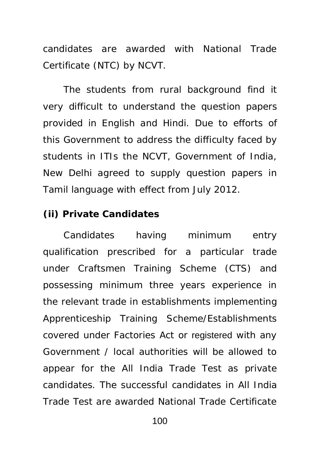candidates are awarded with National Trade Certificate (NTC) by NCVT.

The students from rural background find it very difficult to understand the question papers provided in English and Hindi. Due to efforts of this Government to address the difficulty faced by students in ITIs the NCVT, Government of India, New Delhi agreed to supply question papers in Tamil language with effect from July 2012.

## **(ii) Private Candidates**

Candidates having minimum entry qualification prescribed for a particular trade under Craftsmen Training Scheme (CTS) and possessing minimum three years experience in the relevant trade in establishments implementing Apprenticeship Training Scheme/Establishments covered under Factories Act or registered with any Government / local authorities will be allowed to appear for the All India Trade Test as private candidates. The successful candidates in All India Trade Test are awarded National Trade Certificate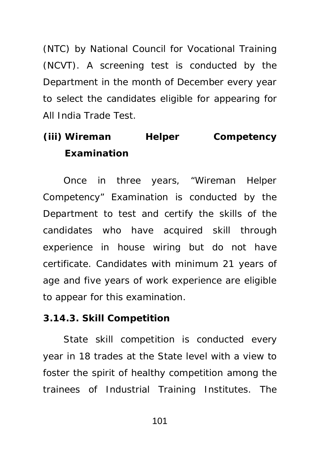(NTC) by National Council for Vocational Training (NCVT). A screening test is conducted by the Department in the month of December every year to select the candidates eligible for appearing for All India Trade Test.

# **(iii) Wireman Helper Competency Examination**

Once in three years, "Wireman Helper Competency" Examination is conducted by the Department to test and certify the skills of the candidates who have acquired skill through experience in house wiring but do not have certificate. Candidates with minimum 21 years of age and five years of work experience are eligible to appear for this examination.

### **3.14.3. Skill Competition**

State skill competition is conducted every year in 18 trades at the State level with a view to foster the spirit of healthy competition among the trainees of Industrial Training Institutes. The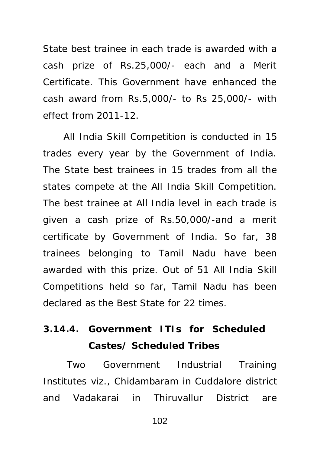State best trainee in each trade is awarded with a cash prize of Rs.25,000/- each and a Merit Certificate. This Government have enhanced the cash award from Rs.5,000/- to Rs 25,000/- with effect from 2011-12.

All India Skill Competition is conducted in 15 trades every year by the Government of India. The State best trainees in 15 trades from all the states compete at the All India Skill Competition. The best trainee at All India level in each trade is given a cash prize of Rs.50,000/-and a merit certificate by Government of India. So far, 38 trainees belonging to Tamil Nadu have been awarded with this prize. Out of 51 All India Skill Competitions held so far, Tamil Nadu has been declared as the Best State for 22 times.

# **3.14.4. Government ITIs for Scheduled Castes/ Scheduled Tribes**

 Two Government Industrial Training Institutes viz., Chidambaram in Cuddalore district and Vadakarai in Thiruvallur District are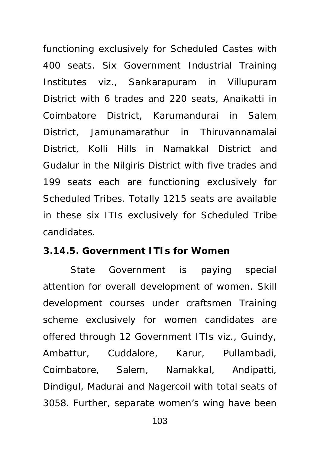functioning exclusively for Scheduled Castes with 400 seats. Six Government Industrial Training Institutes viz., Sankarapuram in Villupuram District with 6 trades and 220 seats, Anaikatti in Coimbatore District, Karumandurai in Salem District, Jamunamarathur in Thiruvannamalai District, Kolli Hills in Namakkal District and Gudalur in the Nilgiris District with five trades and 199 seats each are functioning exclusively for Scheduled Tribes. Totally 1215 seats are available in these six ITIs exclusively for Scheduled Tribe candidates.

#### **3.14.5. Government ITIs for Women**

State Government is paying special attention for overall development of women. Skill development courses under craftsmen Training scheme exclusively for women candidates are offered through 12 Government ITIs viz., Guindy, Ambattur, Cuddalore, Karur, Pullambadi, Coimbatore, Salem, Namakkal, Andipatti, Dindigul, Madurai and Nagercoil with total seats of 3058. Further, separate women's wing have been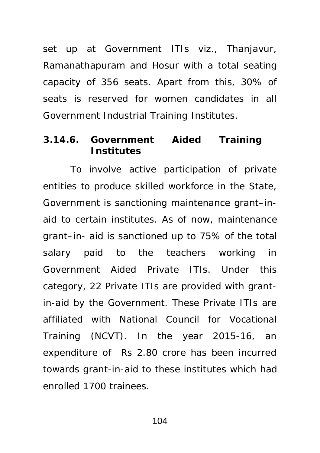set up at Government ITIs viz., Thanjavur, Ramanathapuram and Hosur with a total seating capacity of 356 seats. Apart from this, 30% of seats is reserved for women candidates in all Government Industrial Training Institutes.

### **3.14.6. Government Aided Training Institutes**

To involve active participation of private entities to produce skilled workforce in the State, Government is sanctioning maintenance grant–inaid to certain institutes. As of now, maintenance grant–in- aid is sanctioned up to 75% of the total salary paid to the teachers working in Government Aided Private ITIs. Under this category, 22 Private ITIs are provided with grantin-aid by the Government. These Private ITIs are affiliated with National Council for Vocational Training (NCVT). In the year 2015-16, an expenditure of Rs 2.80 crore has been incurred towards grant-in-aid to these institutes which had enrolled 1700 trainees.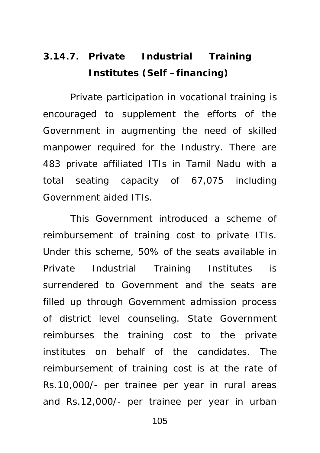# **3.14.7. Private Industrial Training Institutes (Self –financing)**

Private participation in vocational training is encouraged to supplement the efforts of the Government in augmenting the need of skilled manpower required for the Industry. There are 483 private affiliated ITIs in Tamil Nadu with a total seating capacity of 67,075 including Government aided ITIs.

This Government introduced a scheme of reimbursement of training cost to private ITIs. Under this scheme, 50% of the seats available in Private Industrial Training Institutes is surrendered to Government and the seats are filled up through Government admission process of district level counseling. State Government reimburses the training cost to the private institutes on behalf of the candidates. The reimbursement of training cost is at the rate of Rs.10,000/- per trainee per year in rural areas and Rs.12,000/- per trainee per year in urban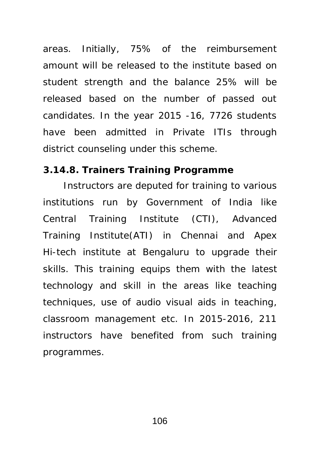areas. Initially, 75% of the reimbursement amount will be released to the institute based on student strength and the balance 25% will be released based on the number of passed out candidates. In the year 2015 -16, 7726 students have been admitted in Private ITIs through district counseling under this scheme.

### **3.14.8. Trainers Training Programme**

Instructors are deputed for training to various institutions run by Government of India like Central Training Institute (CTI), Advanced Training Institute(ATI) in Chennai and Apex Hi-tech institute at Bengaluru to upgrade their skills. This training equips them with the latest technology and skill in the areas like teaching techniques, use of audio visual aids in teaching, classroom management etc. In 2015-2016, 211 instructors have benefited from such training programmes.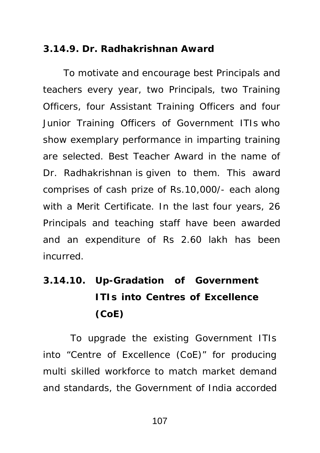### **3.14.9. Dr. Radhakrishnan Award**

To motivate and encourage best Principals and teachers every year, two Principals, two Training Officers, four Assistant Training Officers and four Junior Training Officers of Government ITIs who show exemplary performance in imparting training are selected. Best Teacher Award in the name of Dr. Radhakrishnan is given to them. This award comprises of cash prize of Rs.10,000/- each along with a Merit Certificate. In the last four years, 26 Principals and teaching staff have been awarded and an expenditure of Rs 2.60 lakh has been incurred.

**3.14.10. Up-Gradation of Government ITIs into Centres of Excellence (CoE)** 

To upgrade the existing Government ITIs into "Centre of Excellence (CoE)" for producing multi skilled workforce to match market demand and standards, the Government of India accorded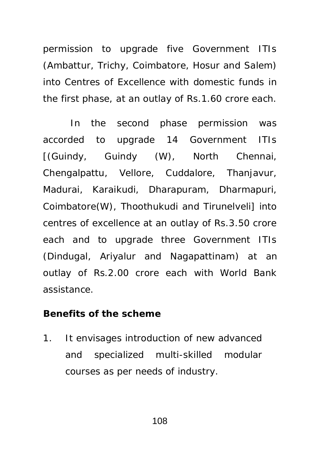permission to upgrade five Government ITIs (Ambattur, Trichy, Coimbatore, Hosur and Salem) into Centres of Excellence with domestic funds in the first phase, at an outlay of Rs.1.60 crore each.

In the second phase permission was accorded to upgrade 14 Government ITIs [(Guindy, Guindy (W), North Chennai, Chengalpattu, Vellore, Cuddalore, Thanjavur, Madurai, Karaikudi, Dharapuram, Dharmapuri, Coimbatore(W), Thoothukudi and Tirunelveli] into centres of excellence at an outlay of Rs.3.50 crore each and to upgrade three Government ITIs (Dindugal, Ariyalur and Nagapattinam) at an outlay of Rs.2.00 crore each with World Bank assistance.

#### **Benefits of the scheme**

1. It envisages introduction of new advanced and specialized multi-skilled modular courses as per needs of industry.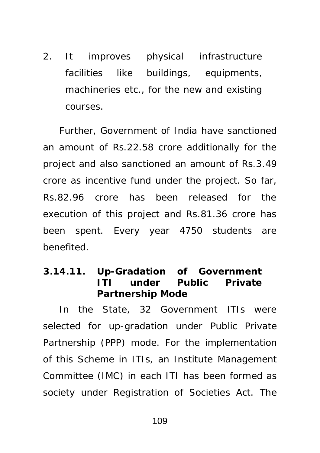2. It improves physical infrastructure facilities like buildings, equipments, machineries etc., for the new and existing courses.

Further, Government of India have sanctioned an amount of Rs.22.58 crore additionally for the project and also sanctioned an amount of Rs.3.49 crore as incentive fund under the project. So far, Rs.82.96 crore has been released for the execution of this project and Rs.81.36 crore has been spent. Every year 4750 students are benefited.

**3.14.11. Up-Gradation of Government ITI under Public Private Partnership Mode** 

In the State, 32 Government ITIs were selected for up-gradation under Public Private Partnership (PPP) mode. For the implementation of this Scheme in ITIs, an Institute Management Committee (IMC) in each ITI has been formed as society under Registration of Societies Act. The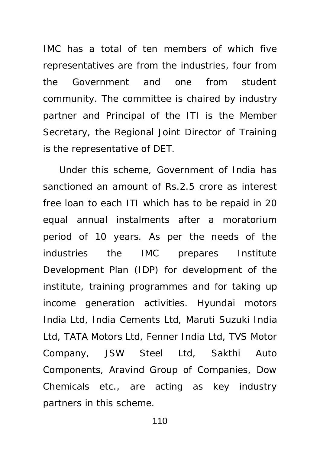IMC has a total of ten members of which five representatives are from the industries, four from the Government and one from student community. The committee is chaired by industry partner and Principal of the ITI is the Member Secretary, the Regional Joint Director of Training is the representative of DET.

Under this scheme, Government of India has sanctioned an amount of Rs.2.5 crore as interest free loan to each ITI which has to be repaid in 20 equal annual instalments after a moratorium period of 10 years. As per the needs of the industries the IMC prepares Institute Development Plan (IDP) for development of the institute, training programmes and for taking up income generation activities. Hyundai motors India Ltd, India Cements Ltd, Maruti Suzuki India Ltd, TATA Motors Ltd, Fenner India Ltd, TVS Motor Company, JSW Steel Ltd, Sakthi Auto Components, Aravind Group of Companies, Dow Chemicals etc., are acting as key industry partners in this scheme.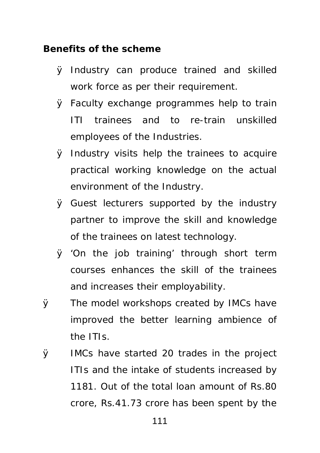#### **Benefits of the scheme**

- Ø Industry can produce trained and skilled work force as per their requirement.
- Ø Faculty exchange programmes help to train ITI trainees and to re-train unskilled employees of the Industries.
- Ø Industry visits help the trainees to acquire practical working knowledge on the actual environment of the Industry.
- Ø Guest lecturers supported by the industry partner to improve the skill and knowledge of the trainees on latest technology.
- Ø 'On the job training' through short term courses enhances the skill of the trainees and increases their employability.
- Ø The model workshops created by IMCs have improved the better learning ambience of the ITIs.
- Ø IMCs have started 20 trades in the project ITIs and the intake of students increased by 1181. Out of the total loan amount of Rs.80 crore, Rs.41.73 crore has been spent by the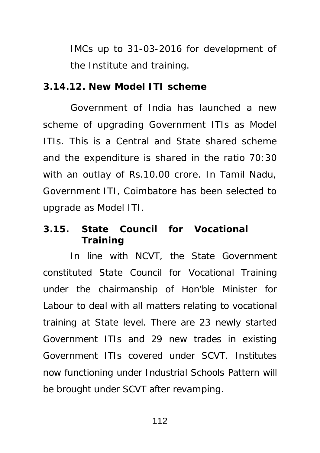IMCs up to 31-03-2016 for development of the Institute and training.

#### **3.14.12. New Model ITI scheme**

Government of India has launched a new scheme of upgrading Government ITIs as Model ITIs. This is a Central and State shared scheme and the expenditure is shared in the ratio 70:30 with an outlay of Rs.10.00 crore. In Tamil Nadu, Government ITI, Coimbatore has been selected to upgrade as Model ITI.

## **3.15. State Council for Vocational Training**

In line with NCVT, the State Government constituted State Council for Vocational Training under the chairmanship of Hon'ble Minister for Labour to deal with all matters relating to vocational training at State level. There are 23 newly started Government ITIs and 29 new trades in existing Government ITIs covered under SCVT. Institutes now functioning under Industrial Schools Pattern will be brought under SCVT after revamping.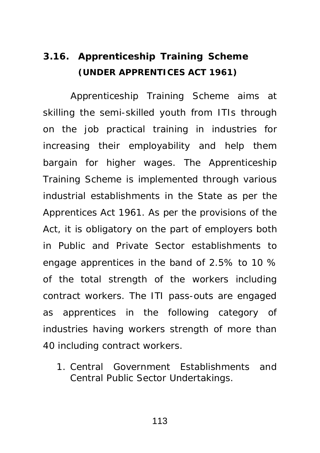## **3.16. Apprenticeship Training Scheme (UNDER APPRENTICES ACT 1961)**

Apprenticeship Training Scheme aims at skilling the semi-skilled youth from ITIs through on the job practical training in industries for increasing their employability and help them bargain for higher wages. The Apprenticeship Training Scheme is implemented through various industrial establishments in the State as per the Apprentices Act 1961. As per the provisions of the Act, it is obligatory on the part of employers both in Public and Private Sector establishments to engage apprentices in the band of 2.5% to 10 % of the total strength of the workers including contract workers. The ITI pass-outs are engaged as apprentices in the following category of industries having workers strength of more than 40 including contract workers.

1. Central Government Establishments and Central Public Sector Undertakings.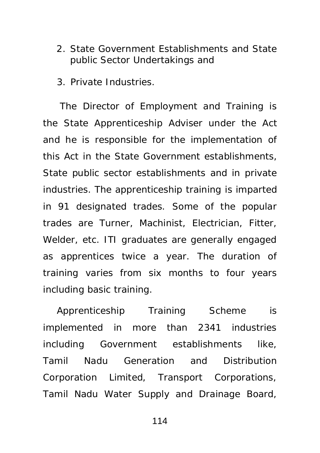- 2. State Government Establishments and State public Sector Undertakings and
- 3. Private Industries.

 The Director of Employment and Training is the State Apprenticeship Adviser under the Act and he is responsible for the implementation of this Act in the State Government establishments, State public sector establishments and in private industries. The apprenticeship training is imparted in 91 designated trades. Some of the popular trades are Turner, Machinist, Electrician, Fitter, Welder, etc. ITI graduates are generally engaged as apprentices twice a year. The duration of training varies from six months to four years including basic training.

Apprenticeship Training Scheme is implemented in more than 2341 industries including Government establishments like, Tamil Nadu Generation and Distribution Corporation Limited, Transport Corporations, Tamil Nadu Water Supply and Drainage Board,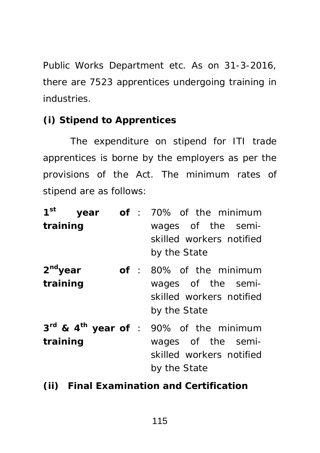Public Works Department etc. As on 31-3-2016, there are 7523 apprentices undergoing training in industries.

## **(i) Stipend to Apprentices**

The expenditure on stipend for ITI trade apprentices is borne by the employers as per the provisions of the Act. The minimum rates of stipend are as follows:

| 1 <sup>st</sup><br>training |  | year of: 70% of the minimum<br>wages of the semi-<br>skilled workers notified<br>by the State                        |
|-----------------------------|--|----------------------------------------------------------------------------------------------------------------------|
| $2nd$ year<br>training      |  | of : 80% of the minimum<br>wages of the semi-<br>skilled workers notified<br>by the State                            |
| training                    |  | 3rd & 4 <sup>th</sup> year of : 90% of the minimum<br>wages of the semi-<br>skilled workers notified<br>by the State |

**(ii) Final Examination and Certification**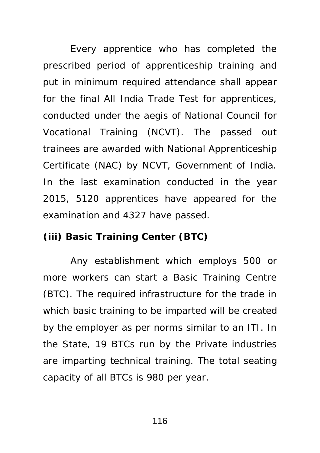Every apprentice who has completed the prescribed period of apprenticeship training and put in minimum required attendance shall appear for the final All India Trade Test for apprentices, conducted under the aegis of National Council for Vocational Training (NCVT). The passed out trainees are awarded with National Apprenticeship Certificate (NAC) by NCVT, Government of India. In the last examination conducted in the year 2015, 5120 apprentices have appeared for the examination and 4327 have passed.

## **(iii) Basic Training Center (BTC)**

Any establishment which employs 500 or more workers can start a Basic Training Centre (BTC). The required infrastructure for the trade in which basic training to be imparted will be created by the employer as per norms similar to an ITI. In the State, 19 BTCs run by the Private industries are imparting technical training. The total seating capacity of all BTCs is 980 per year.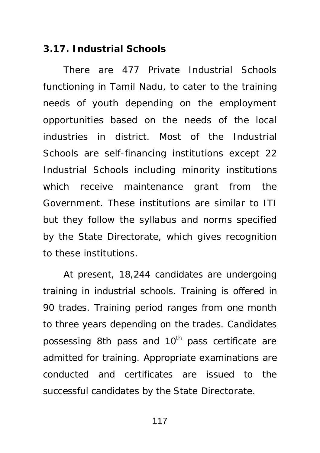#### **3.17. Industrial Schools**

There are 477 Private Industrial Schools functioning in Tamil Nadu, to cater to the training needs of youth depending on the employment opportunities based on the needs of the local industries in district. Most of the Industrial Schools are self-financing institutions except 22 Industrial Schools including minority institutions which receive maintenance grant from the Government. These institutions are similar to ITI but they follow the syllabus and norms specified by the State Directorate, which gives recognition to these institutions.

At present, 18,244 candidates are undergoing training in industrial schools. Training is offered in 90 trades. Training period ranges from one month to three years depending on the trades. Candidates possessing 8th pass and  $10<sup>th</sup>$  pass certificate are admitted for training. Appropriate examinations are conducted and certificates are issued to the successful candidates by the State Directorate.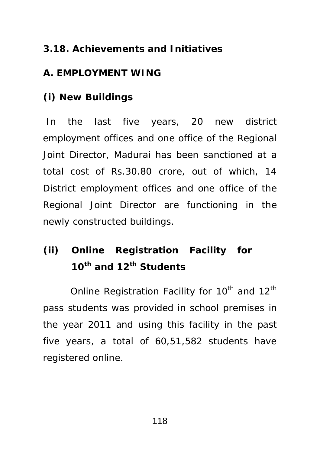## **3.18. Achievements and Initiatives**

## **A. EMPLOYMENT WING**

## **(i) New Buildings**

 In the last five years, 20 new district employment offices and one office of the Regional Joint Director, Madurai has been sanctioned at a total cost of Rs.30.80 crore, out of which, 14 District employment offices and one office of the Regional Joint Director are functioning in the newly constructed buildings.

# **(ii) Online Registration Facility for 10th and 12th Students**

Online Registration Facility for  $10^{th}$  and  $12^{th}$ pass students was provided in school premises in the year 2011 and using this facility in the past five years, a total of 60,51,582 students have registered online.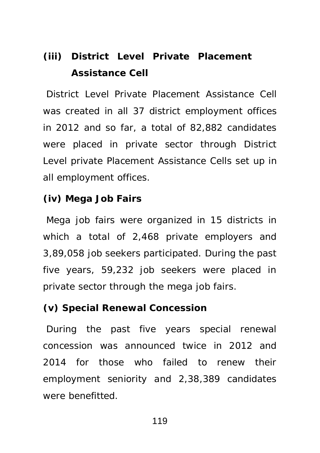## **(iii) District Level Private Placement Assistance Cell**

 District Level Private Placement Assistance Cell was created in all 37 district employment offices in 2012 and so far, a total of 82,882 candidates were placed in private sector through District Level private Placement Assistance Cells set up in all employment offices.

#### **(iv) Mega Job Fairs**

 Mega job fairs were organized in 15 districts in which a total of 2,468 private employers and 3,89,058 job seekers participated. During the past five years, 59,232 job seekers were placed in private sector through the mega job fairs.

## **(v) Special Renewal Concession**

During the past five years special renewal concession was announced twice in 2012 and 2014 for those who failed to renew their employment seniority and 2,38,389 candidates were benefitted.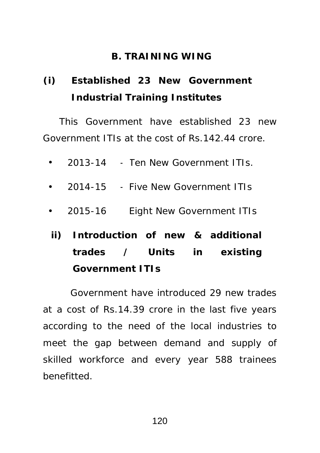## **B. TRAINING WING**

# **(i) Established 23 New Government Industrial Training Institutes**

This Government have established 23 new Government ITIs at the cost of Rs.142.44 crore.

- 2013-14 Ten New Government ITIs.
- 2014-15 Five New Government ITIs
- 2015-16 Eight New Government ITIs
- **ii) Introduction of new & additional trades / Units in existing Government ITIs**

Government have introduced 29 new trades at a cost of Rs.14.39 crore in the last five years according to the need of the local industries to meet the gap between demand and supply of skilled workforce and every year 588 trainees benefitted.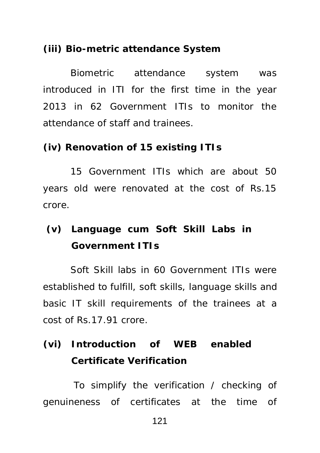### **(iii) Bio-metric attendance System**

Biometric attendance system was introduced in ITI for the first time in the year 2013 in 62 Government ITIs to monitor the attendance of staff and trainees.

#### **(iv) Renovation of 15 existing ITIs**

15 Government ITIs which are about 50 years old were renovated at the cost of Rs.15 crore.

## **(v) Language cum Soft Skill Labs in Government ITIs**

Soft Skill labs in 60 Government ITIs were established to fulfill, soft skills, language skills and basic IT skill requirements of the trainees at a cost of Rs.17.91 crore.

## **(vi) Introduction of WEB enabled Certificate Verification**

 To simplify the verification / checking of genuineness of certificates at the time of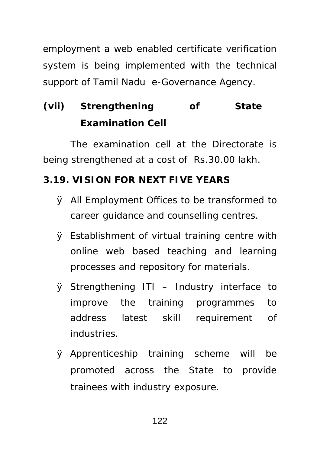employment a web enabled certificate verification system is being implemented with the technical support of Tamil Nadu e-Governance Agency.

# **(vii) Strengthening of State Examination Cell**

The examination cell at the Directorate is being strengthened at a cost of Rs.30.00 lakh.

## **3.19. VISION FOR NEXT FIVE YEARS**

- Ø All Employment Offices to be transformed to career guidance and counselling centres.
- Ø Establishment of virtual training centre with online web based teaching and learning processes and repository for materials.
- Ø Strengthening ITI Industry interface to improve the training programmes to address latest skill requirement of industries.
- Ø Apprenticeship training scheme will be promoted across the State to provide trainees with industry exposure.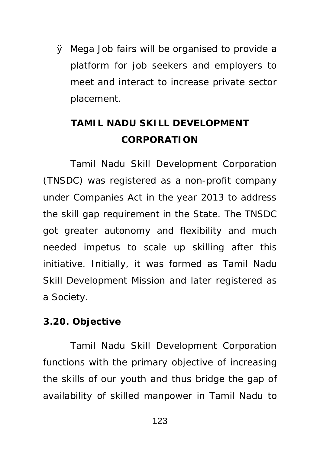Ø Mega Job fairs will be organised to provide a platform for job seekers and employers to meet and interact to increase private sector placement.

## **TAMIL NADU SKILL DEVELOPMENT CORPORATION**

Tamil Nadu Skill Development Corporation (TNSDC) was registered as a non-profit company under Companies Act in the year 2013 to address the skill gap requirement in the State. The TNSDC got greater autonomy and flexibility and much needed impetus to scale up skilling after this initiative. Initially, it was formed as Tamil Nadu Skill Development Mission and later registered as a Society.

### **3.20. Objective**

Tamil Nadu Skill Development Corporation functions with the primary objective of increasing the skills of our youth and thus bridge the gap of availability of skilled manpower in Tamil Nadu to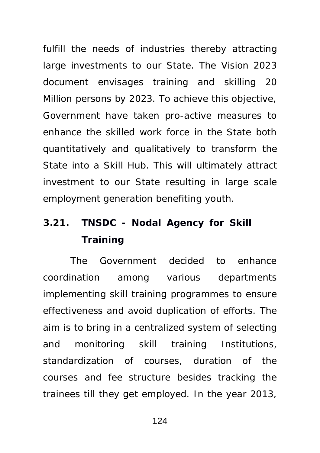fulfill the needs of industries thereby attracting large investments to our State. The Vision 2023 document envisages training and skilling 20 Million persons by 2023. To achieve this objective, Government have taken pro-active measures to enhance the skilled work force in the State both quantitatively and qualitatively to transform the State into a Skill Hub. This will ultimately attract investment to our State resulting in large scale employment generation benefiting youth.

# **3.21. TNSDC - Nodal Agency for Skill Training**

The Government decided to enhance coordination among various departments implementing skill training programmes to ensure effectiveness and avoid duplication of efforts. The aim is to bring in a centralized system of selecting and monitoring skill training Institutions, standardization of courses, duration of the courses and fee structure besides tracking the trainees till they get employed. In the year 2013,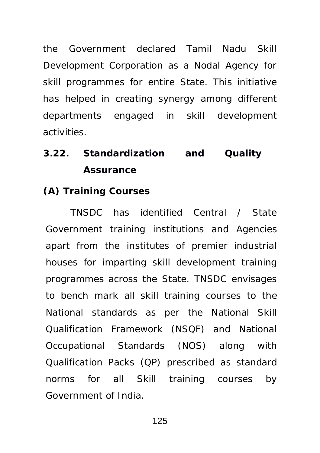the Government declared Tamil Nadu Skill Development Corporation as a Nodal Agency for skill programmes for entire State. This initiative has helped in creating synergy among different departments engaged in skill development activities.

# **3.22. Standardization and Quality Assurance**

### **(A) Training Courses**

TNSDC has identified Central / State Government training institutions and Agencies apart from the institutes of premier industrial houses for imparting skill development training programmes across the State. TNSDC envisages to bench mark all skill training courses to the National standards as per the National Skill Qualification Framework (NSQF) and National Occupational Standards (NOS) along with Qualification Packs (QP) prescribed as standard norms for all Skill training courses by Government of India.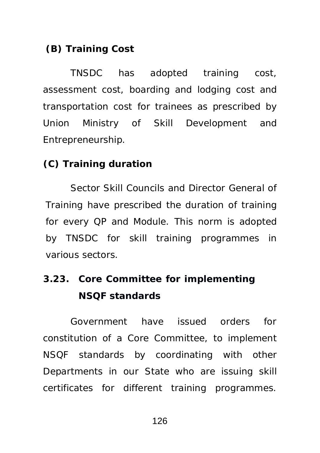## **(B) Training Cost**

TNSDC has adopted training cost, assessment cost, boarding and lodging cost and transportation cost for trainees as prescribed by Union Ministry of Skill Development and Entrepreneurship.

### **(C) Training duration**

Sector Skill Councils and Director General of Training have prescribed the duration of training for every QP and Module. This norm is adopted by TNSDC for skill training programmes in various sectors.

## **3.23. Core Committee for implementing NSQF standards**

Government have issued orders for constitution of a Core Committee, to implement NSQF standards by coordinating with other Departments in our State who are issuing skill certificates for different training programmes.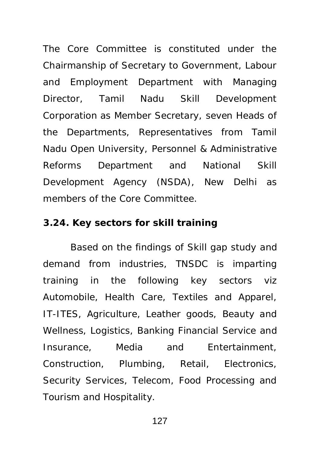The Core Committee is constituted under the Chairmanship of Secretary to Government, Labour and Employment Department with Managing Director, Tamil Nadu Skill Development Corporation as Member Secretary, seven Heads of the Departments, Representatives from Tamil Nadu Open University, Personnel & Administrative Reforms Department and National Skill Development Agency (NSDA), New Delhi as members of the Core Committee.

### **3.24. Key sectors for skill training**

Based on the findings of Skill gap study and demand from industries, TNSDC is imparting training in the following key sectors viz Automobile, Health Care, Textiles and Apparel, IT-ITES, Agriculture, Leather goods, Beauty and Wellness, Logistics, Banking Financial Service and Insurance, Media and Entertainment, Construction, Plumbing, Retail, Electronics, Security Services, Telecom, Food Processing and Tourism and Hospitality.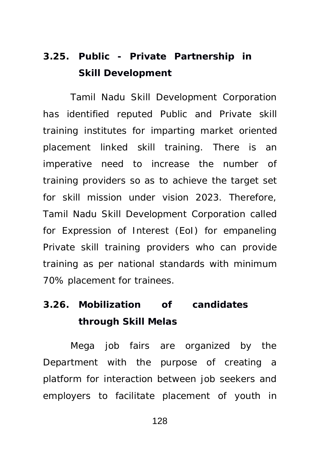# **3.25. Public - Private Partnership in Skill Development**

Tamil Nadu Skill Development Corporation has identified reputed Public and Private skill training institutes for imparting market oriented placement linked skill training. There is an imperative need to increase the number of training providers so as to achieve the target set for skill mission under vision 2023. Therefore, Tamil Nadu Skill Development Corporation called for Expression of Interest (EoI) for empaneling Private skill training providers who can provide training as per national standards with minimum 70% placement for trainees.

## **3.26. Mobilization of candidates through Skill Melas**

Mega job fairs are organized by the Department with the purpose of creating a platform for interaction between job seekers and employers to facilitate placement of youth in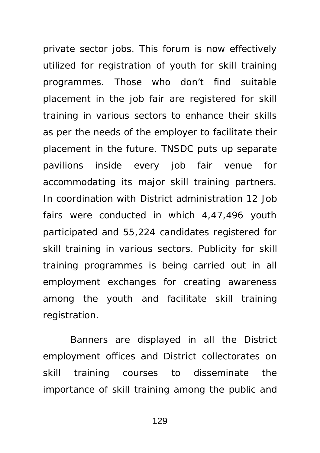private sector jobs. This forum is now effectively utilized for registration of youth for skill training programmes. Those who don't find suitable placement in the job fair are registered for skill training in various sectors to enhance their skills as per the needs of the employer to facilitate their placement in the future. TNSDC puts up separate pavilions inside every job fair venue for accommodating its major skill training partners. In coordination with District administration 12 Job fairs were conducted in which 4,47,496 youth participated and 55,224 candidates registered for skill training in various sectors. Publicity for skill training programmes is being carried out in all employment exchanges for creating awareness among the youth and facilitate skill training registration.

Banners are displayed in all the District employment offices and District collectorates on skill training courses to disseminate the importance of skill training among the public and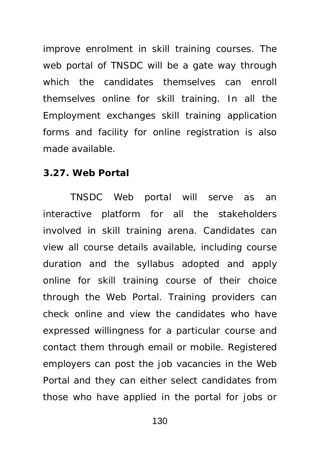improve enrolment in skill training courses. The web portal of TNSDC will be a gate way through which the candidates themselves can enroll themselves online for skill training. In all the Employment exchanges skill training application forms and facility for online registration is also made available.

## **3.27. Web Portal**

TNSDC Web portal will serve as an interactive platform for all the stakeholders involved in skill training arena. Candidates can view all course details available, including course duration and the syllabus adopted and apply online for skill training course of their choice through the Web Portal. Training providers can check online and view the candidates who have expressed willingness for a particular course and contact them through email or mobile. Registered employers can post the job vacancies in the Web Portal and they can either select candidates from those who have applied in the portal for jobs or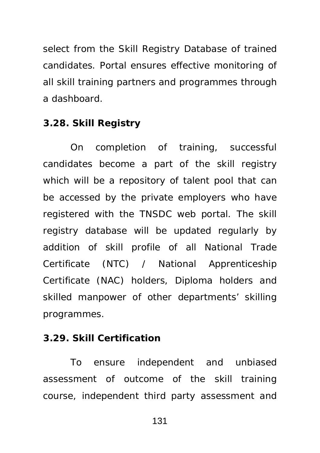select from the Skill Registry Database of trained candidates. Portal ensures effective monitoring of all skill training partners and programmes through a dashboard.

#### **3.28. Skill Registry**

On completion of training, successful candidates become a part of the skill registry which will be a repository of talent pool that can be accessed by the private employers who have registered with the TNSDC web portal. The skill registry database will be updated regularly by addition of skill profile of all National Trade Certificate (NTC) / National Apprenticeship Certificate (NAC) holders, Diploma holders and skilled manpower of other departments' skilling programmes.

#### **3.29. Skill Certification**

To ensure independent and unbiased assessment of outcome of the skill training course, independent third party assessment and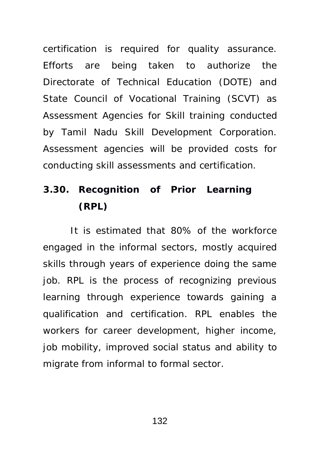certification is required for quality assurance. Efforts are being taken to authorize the Directorate of Technical Education (DOTE) and State Council of Vocational Training (SCVT) as Assessment Agencies for Skill training conducted by Tamil Nadu Skill Development Corporation. Assessment agencies will be provided costs for conducting skill assessments and certification.

## **3.30. Recognition of Prior Learning (RPL)**

It is estimated that 80% of the workforce engaged in the informal sectors, mostly acquired skills through years of experience doing the same job. RPL is the process of recognizing previous learning through experience towards gaining a qualification and certification. RPL enables the workers for career development, higher income, job mobility, improved social status and ability to migrate from informal to formal sector.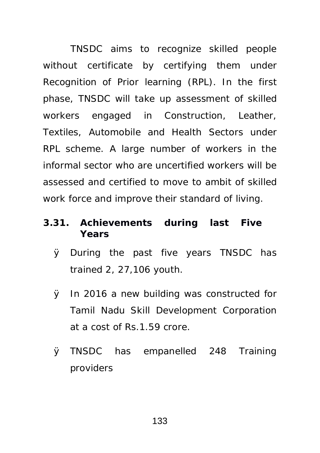TNSDC aims to recognize skilled people without certificate by certifying them under Recognition of Prior learning (RPL). In the first phase, TNSDC will take up assessment of skilled workers engaged in Construction, Leather, Textiles, Automobile and Health Sectors under RPL scheme. A large number of workers in the informal sector who are uncertified workers will be assessed and certified to move to ambit of skilled work force and improve their standard of living.

- **3.31. Achievements during last Five Years**
	- Ø During the past five years TNSDC has trained 2, 27,106 youth.
	- Ø In 2016 a new building was constructed for Tamil Nadu Skill Development Corporation at a cost of Rs.1.59 crore.
	- Ø TNSDC has empanelled 248 Training providers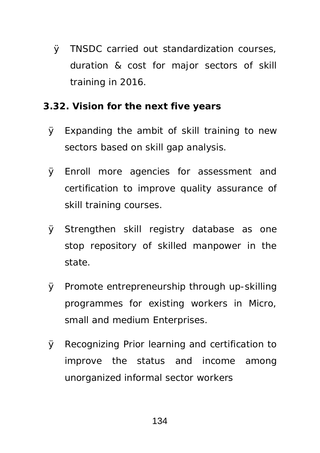Ø TNSDC carried out standardization courses, duration & cost for major sectors of skill training in 2016.

## **3.32. Vision for the next five years**

- Ø Expanding the ambit of skill training to new sectors based on skill gap analysis.
- Ø Enroll more agencies for assessment and certification to improve quality assurance of skill training courses.
- Ø Strengthen skill registry database as one stop repository of skilled manpower in the state.
- Ø Promote entrepreneurship through up-skilling programmes for existing workers in Micro, small and medium Enterprises.
- Ø Recognizing Prior learning and certification to improve the status and income among unorganized informal sector workers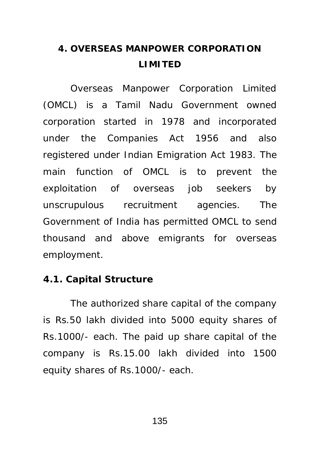## **4. OVERSEAS MANPOWER CORPORATION LIMITED**

Overseas Manpower Corporation Limited (OMCL) is a Tamil Nadu Government owned corporation started in 1978 and incorporated under the Companies Act 1956 and also registered under Indian Emigration Act 1983. The main function of OMCL is to prevent the exploitation of overseas job seekers by unscrupulous recruitment agencies. The Government of India has permitted OMCL to send thousand and above emigrants for overseas employment.

#### **4.1. Capital Structure**

The authorized share capital of the company is Rs.50 lakh divided into 5000 equity shares of Rs.1000/- each. The paid up share capital of the company is Rs.15.00 lakh divided into 1500 equity shares of Rs.1000/- each.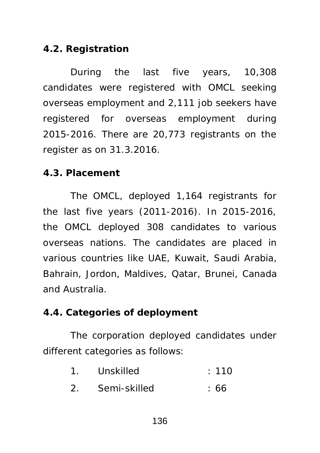### **4.2. Registration**

During the last five years, 10,308 candidates were registered with OMCL seeking overseas employment and 2,111 job seekers have registered for overseas employment during 2015-2016. There are 20,773 registrants on the register as on 31.3.2016.

### **4.3. Placement**

The OMCL, deployed 1,164 registrants for the last five years (2011-2016). In 2015-2016, the OMCL deployed 308 candidates to various overseas nations. The candidates are placed in various countries like UAE, Kuwait, Saudi Arabia, Bahrain, Jordon, Maldives, Qatar, Brunei, Canada and Australia.

### **4.4. Categories of deployment**

The corporation deployed candidates under different categories as follows:

- 1. Unskilled : 110
- 2. Semi-skilled : 66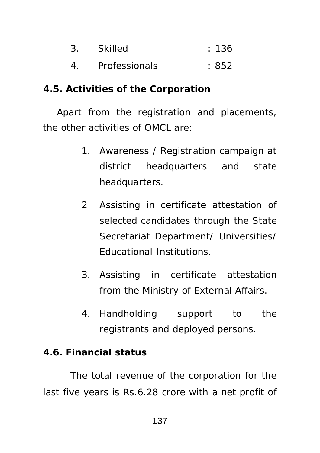- 3. Skilled : 136
- 4. Professionals : 852

### **4.5. Activities of the Corporation**

Apart from the registration and placements, the other activities of OMCL are:

- 1. Awareness / Registration campaign at district headquarters and state headquarters.
- 2 Assisting in certificate attestation of selected candidates through the State Secretariat Department/ Universities/ Educational Institutions.
- 3. Assisting in certificate attestation from the Ministry of External Affairs.
- 4. Handholding support to the registrants and deployed persons.

### **4.6. Financial status**

The total revenue of the corporation for the last five years is Rs.6.28 crore with a net profit of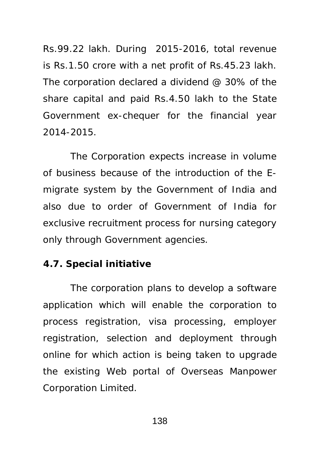Rs.99.22 lakh. During 2015-2016, total revenue is Rs.1.50 crore with a net profit of Rs.45.23 lakh. The corporation declared a dividend @ 30% of the share capital and paid Rs.4.50 lakh to the State Government ex-chequer for the financial year 2014-2015.

The Corporation expects increase in volume of business because of the introduction of the Emigrate system by the Government of India and also due to order of Government of India for exclusive recruitment process for nursing category only through Government agencies.

### **4.7. Special initiative**

The corporation plans to develop a software application which will enable the corporation to process registration, visa processing, employer registration, selection and deployment through online for which action is being taken to upgrade the existing Web portal of Overseas Manpower Corporation Limited.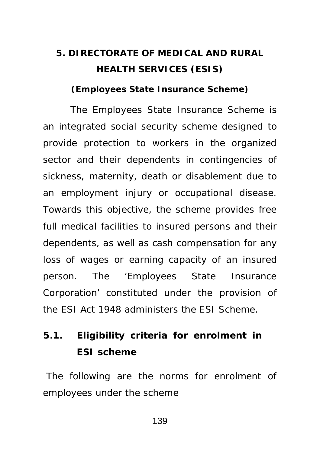## **5. DIRECTORATE OF MEDICAL AND RURAL HEALTH SERVICES (ESIS)**

**(Employees State Insurance Scheme)**

The Employees State Insurance Scheme is an integrated social security scheme designed to provide protection to workers in the organized sector and their dependents in contingencies of sickness, maternity, death or disablement due to an employment injury or occupational disease. Towards this objective, the scheme provides free full medical facilities to insured persons and their dependents, as well as cash compensation for any loss of wages or earning capacity of an insured person. The 'Employees State Insurance Corporation' constituted under the provision of the ESI Act 1948 administers the ESI Scheme.

## **5.1. Eligibility criteria for enrolment in ESI scheme**

 The following are the norms for enrolment of employees under the scheme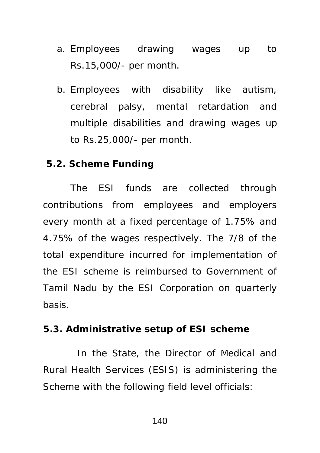- a. Employees drawing wages up to Rs.15,000/- per month.
- b. Employees with disability like autism, cerebral palsy, mental retardation and multiple disabilities and drawing wages up to Rs.25,000/- per month.

#### **5.2. Scheme Funding**

The ESI funds are collected through contributions from employees and employers every month at a fixed percentage of 1.75% and 4.75% of the wages respectively. The 7/8 of the total expenditure incurred for implementation of the ESI scheme is reimbursed to Government of Tamil Nadu by the ESI Corporation on quarterly basis.

#### **5.3. Administrative setup of ESI scheme**

In the State, the Director of Medical and Rural Health Services (ESIS) is administering the Scheme with the following field level officials: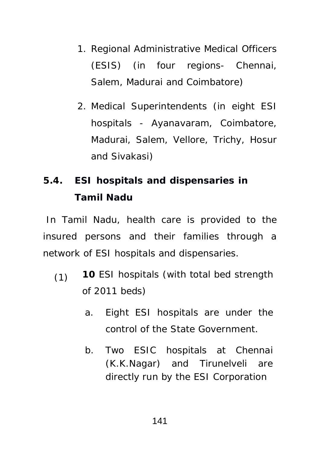- 1. Regional Administrative Medical Officers (ESIS) (in four regions- Chennai, Salem, Madurai and Coimbatore)
- 2. Medical Superintendents (in eight ESI hospitals - Ayanavaram, Coimbatore, Madurai, Salem, Vellore, Trichy, Hosur and Sivakasi)

## **5.4. ESI hospitals and dispensaries in Tamil Nadu**

 In Tamil Nadu, health care is provided to the insured persons and their families through a network of ESI hospitals and dispensaries.

- (1) **10** ESI hospitals (with total bed strength of 2011 beds)
	- a. Eight ESI hospitals are under the control of the State Government.
	- b. Two ESIC hospitals at Chennai (K.K.Nagar) and Tirunelveli are directly run by the ESI Corporation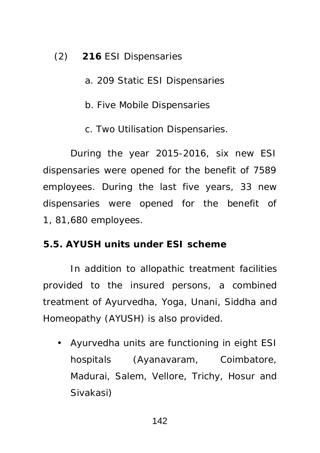(2) **216** ESI Dispensaries

- a. 209 Static ESI Dispensaries
- b. Five Mobile Dispensaries
- c. Two Utilisation Dispensaries.

During the year 2015-2016, six new ESI dispensaries were opened for the benefit of 7589 employees. During the last five years, 33 new dispensaries were opened for the benefit of 1, 81,680 employees.

### **5.5. AYUSH units under ESI scheme**

In addition to allopathic treatment facilities provided to the insured persons, a combined treatment of Ayurvedha, Yoga, Unani, Siddha and Homeopathy (AYUSH) is also provided.

• Ayurvedha units are functioning in eight ESI hospitals (Ayanavaram, Coimbatore, Madurai, Salem, Vellore, Trichy, Hosur and Sivakasi)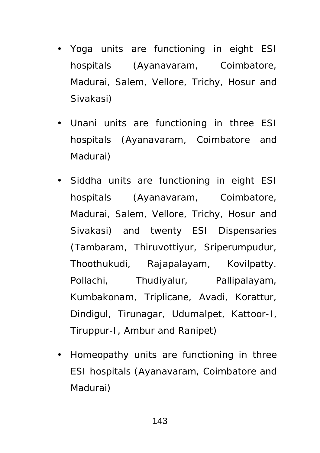- Yoga units are functioning in eight ESI hospitals (Ayanavaram, Coimbatore, Madurai, Salem, Vellore, Trichy, Hosur and Sivakasi)
- Unani units are functioning in three ESI hospitals (Ayanavaram, Coimbatore and Madurai)
- Siddha units are functioning in eight ESI hospitals (Ayanavaram, Coimbatore, Madurai, Salem, Vellore, Trichy, Hosur and Sivakasi) and twenty ESI Dispensaries (Tambaram, Thiruvottiyur, Sriperumpudur, Thoothukudi, Rajapalayam, Kovilpatty. Pollachi, Thudiyalur, Pallipalayam, Kumbakonam, Triplicane, Avadi, Korattur, Dindigul, Tirunagar, Udumalpet, Kattoor-I, Tiruppur-I, Ambur and Ranipet)
- Homeopathy units are functioning in three ESI hospitals (Ayanavaram, Coimbatore and Madurai)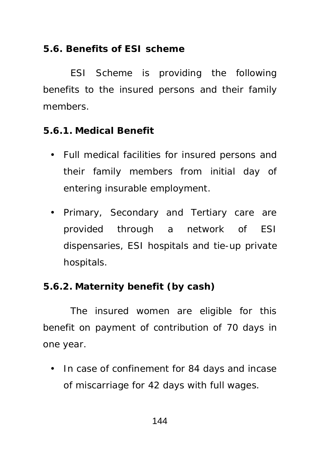### **5.6. Benefits of ESI scheme**

ESI Scheme is providing the following benefits to the insured persons and their family members.

### **5.6.1. Medical Benefit**

- Full medical facilities for insured persons and their family members from initial day of entering insurable employment.
- Primary, Secondary and Tertiary care are provided through a network of ESI dispensaries, ESI hospitals and tie-up private hospitals.

### **5.6.2. Maternity benefit (by cash)**

The insured women are eligible for this benefit on payment of contribution of 70 days in one year.

• In case of confinement for 84 days and incase of miscarriage for 42 days with full wages.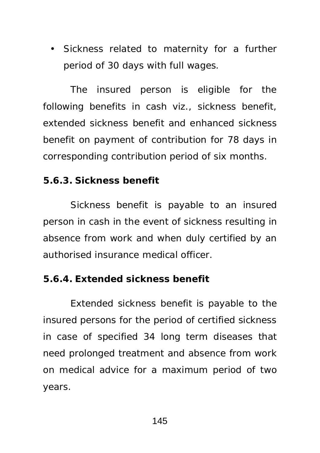• Sickness related to maternity for a further period of 30 days with full wages.

The insured person is eligible for the following benefits in cash viz., sickness benefit, extended sickness benefit and enhanced sickness benefit on payment of contribution for 78 days in corresponding contribution period of six months.

#### **5.6.3. Sickness benefit**

Sickness benefit is payable to an insured person in cash in the event of sickness resulting in absence from work and when duly certified by an authorised insurance medical officer.

#### **5.6.4. Extended sickness benefit**

Extended sickness benefit is payable to the insured persons for the period of certified sickness in case of specified 34 long term diseases that need prolonged treatment and absence from work on medical advice for a maximum period of two years.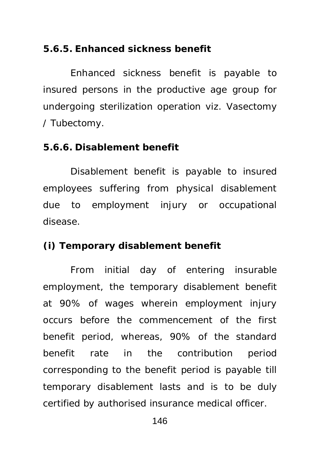#### **5.6.5. Enhanced sickness benefit**

Enhanced sickness benefit is payable to insured persons in the productive age group for undergoing sterilization operation viz. Vasectomy / Tubectomy.

#### **5.6.6. Disablement benefit**

Disablement benefit is payable to insured employees suffering from physical disablement due to employment injury or occupational disease.

#### **(i) Temporary disablement benefit**

From initial day of entering insurable employment, the temporary disablement benefit at 90% of wages wherein employment injury occurs before the commencement of the first benefit period, whereas, 90% of the standard benefit rate in the contribution period corresponding to the benefit period is payable till temporary disablement lasts and is to be duly certified by authorised insurance medical officer.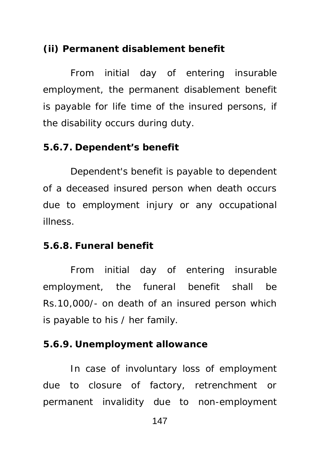#### **(ii) Permanent disablement benefit**

From initial day of entering insurable employment, the permanent disablement benefit is payable for life time of the insured persons, if the disability occurs during duty.

#### **5.6.7. Dependent's benefit**

Dependent's benefit is payable to dependent of a deceased insured person when death occurs due to employment injury or any occupational illness.

#### **5.6.8. Funeral benefit**

From initial day of entering insurable employment, the funeral benefit shall be Rs.10,000/- on death of an insured person which is payable to his / her family.

#### **5.6.9. Unemployment allowance**

In case of involuntary loss of employment due to closure of factory, retrenchment or permanent invalidity due to non-employment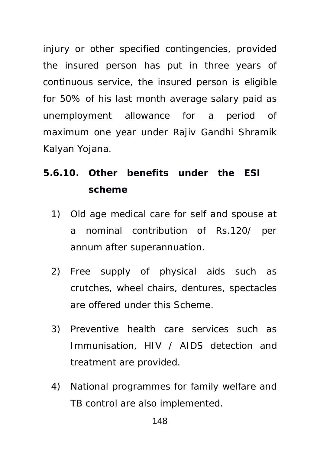injury or other specified contingencies, provided the insured person has put in three years of continuous service, the insured person is eligible for 50% of his last month average salary paid as unemployment allowance for a period of maximum one year under Rajiv Gandhi Shramik Kalyan Yojana.

- **5.6.10. Other benefits under the ESI scheme** 
	- 1) Old age medical care for self and spouse at a nominal contribution of Rs.120/ per annum after superannuation.
	- 2) Free supply of physical aids such as crutches, wheel chairs, dentures, spectacles are offered under this Scheme.
	- 3) Preventive health care services such as Immunisation, HIV / AIDS detection and treatment are provided.
	- 4) National programmes for family welfare and TB control are also implemented.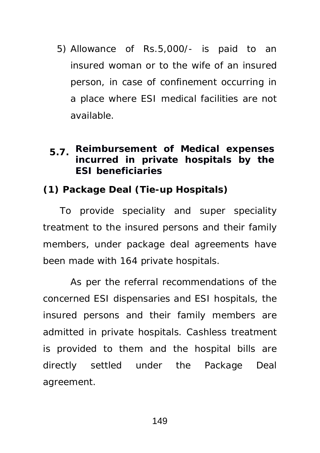- 5) Allowance of Rs.5,000/- is paid to an insured woman or to the wife of an insured person, in case of confinement occurring in a place where ESI medical facilities are not available.
- **5.7. Reimbursement of Medical expenses incurred in private hospitals by the ESI beneficiaries**

**(1) Package Deal (Tie-up Hospitals)** 

 To provide speciality and super speciality treatment to the insured persons and their family members, under package deal agreements have been made with 164 private hospitals.

As per the referral recommendations of the concerned ESI dispensaries and ESI hospitals, the insured persons and their family members are admitted in private hospitals. Cashless treatment is provided to them and the hospital bills are directly settled under the Package Deal agreement.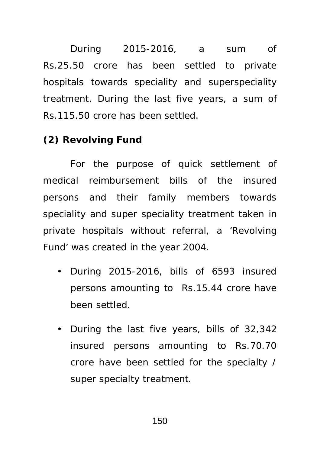During 2015-2016, a sum of Rs.25.50 crore has been settled to private hospitals towards speciality and superspeciality treatment. During the last five years, a sum of Rs.115.50 crore has been settled.

### **(2) Revolving Fund**

For the purpose of quick settlement of medical reimbursement bills of the insured persons and their family members towards speciality and super speciality treatment taken in private hospitals without referral, a 'Revolving Fund' was created in the year 2004.

- During 2015-2016, bills of 6593 insured persons amounting to Rs.15.44 crore have been settled.
- During the last five years, bills of 32,342 insured persons amounting to Rs.70.70 crore have been settled for the specialty / super specialty treatment.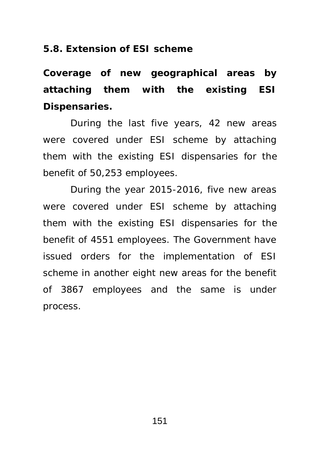**5.8. Extension of ESI scheme** 

**Coverage of new geographical areas by attaching them with the existing ESI Dispensaries.**

During the last five years, 42 new areas were covered under ESI scheme by attaching them with the existing ESI dispensaries for the benefit of 50,253 employees.

During the year 2015-2016, five new areas were covered under ESI scheme by attaching them with the existing ESI dispensaries for the benefit of 4551 employees. The Government have issued orders for the implementation of ESI scheme in another eight new areas for the benefit of 3867 employees and the same is under process.